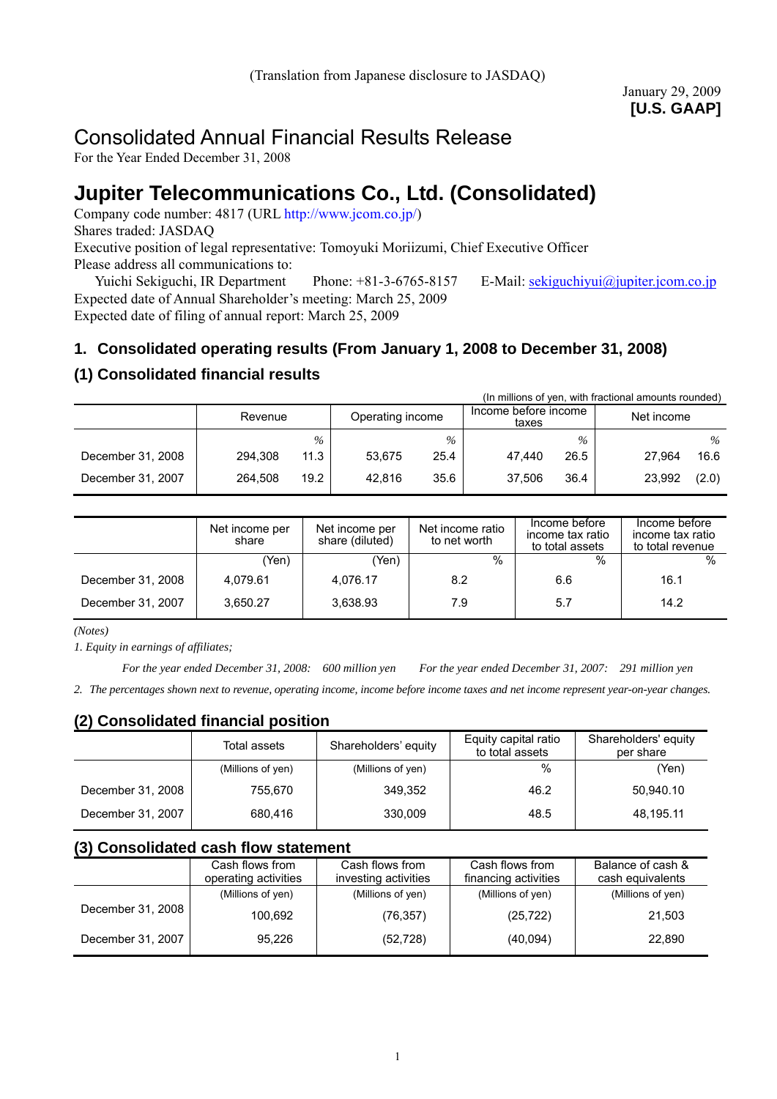# Consolidated Annual Financial Results Release

For the Year Ended December 31, 2008

# **Jupiter Telecommunications Co., Ltd. (Consolidated)**

Company code number: 4817 (URL http://www.jcom.co.jp/) Shares traded: JASDAQ Executive position of legal representative: Tomoyuki Moriizumi, Chief Executive Officer Please address all communications to:

Yuichi Sekiguchi, IR Department Phone: +81-3-6765-8157 E-Mail: sekiguchiyui@jupiter.jcom.co.jp Expected date of Annual Shareholder's meeting: March 25, 2009 Expected date of filing of annual report: March 25, 2009

# **1. Consolidated operating results (From January 1, 2008 to December 31, 2008)**

# **(1) Consolidated financial results**

| (In millions of yen, with fractional amounts rounded) |         |      |                  |      |                               |      |            |       |  |
|-------------------------------------------------------|---------|------|------------------|------|-------------------------------|------|------------|-------|--|
|                                                       | Revenue |      | Operating income |      | Income before income<br>taxes |      | Net income |       |  |
|                                                       |         | $\%$ |                  | $\%$ |                               | $\%$ |            | $\%$  |  |
| December 31, 2008                                     | 294.308 | 11.3 | 53.675           | 25.4 | 47.440                        | 26.5 | 27.964     | 16.6  |  |
| December 31, 2007                                     | 264.508 | 19.2 | 42.816           | 35.6 | 37.506                        | 36.4 | 23,992     | (2.0) |  |

|                   | Net income per<br>share | Net income per<br>share (diluted) | Net income ratio<br>to net worth | Income before<br>income tax ratio<br>to total assets | Income before<br>income tax ratio<br>to total revenue |
|-------------------|-------------------------|-----------------------------------|----------------------------------|------------------------------------------------------|-------------------------------------------------------|
|                   | (Yen)                   | (Yen)                             | $\%$                             | $\frac{0}{0}$                                        | $\frac{0}{0}$                                         |
| December 31, 2008 | 4,079.61                | 4,076.17                          | 8.2                              | 6.6                                                  | 16.1                                                  |
| December 31, 2007 | 3.650.27                | 3,638.93                          | 7.9                              | 5.7                                                  | 14.2                                                  |

*(Notes)* 

*1. Equity in earnings of affiliates;* 

*For the year ended December 31, 2008: 600 million yen For the year ended December 31, 2007: 291 million yen*

*2. The percentages shown next to revenue, operating income, income before income taxes and net income represent year-on-year changes.* 

# **(2) Consolidated financial position**

|                   | Total assets      | Shareholders' equity | Equity capital ratio<br>to total assets | Shareholders' equity<br>per share |
|-------------------|-------------------|----------------------|-----------------------------------------|-----------------------------------|
|                   | (Millions of yen) | (Millions of yen)    | $\%$                                    | (Yen)                             |
| December 31, 2008 | 755.670           | 349.352              | 46.2                                    | 50,940.10                         |
| December 31, 2007 | 680.416           | 330.009              | 48.5                                    | 48,195.11                         |

# **(3) Consolidated cash flow statement**

|                   | Cash flows from<br>operating activities | Cash flows from<br>investing activities | Cash flows from<br>financing activities | Balance of cash &<br>cash equivalents |
|-------------------|-----------------------------------------|-----------------------------------------|-----------------------------------------|---------------------------------------|
|                   | (Millions of yen)                       | (Millions of yen)                       | (Millions of yen)                       | (Millions of yen)                     |
| December 31, 2008 | 100,692                                 | (76,357)                                | (25, 722)                               | 21,503                                |
| December 31, 2007 | 95.226                                  | (52, 728)                               | (40,094)                                | 22,890                                |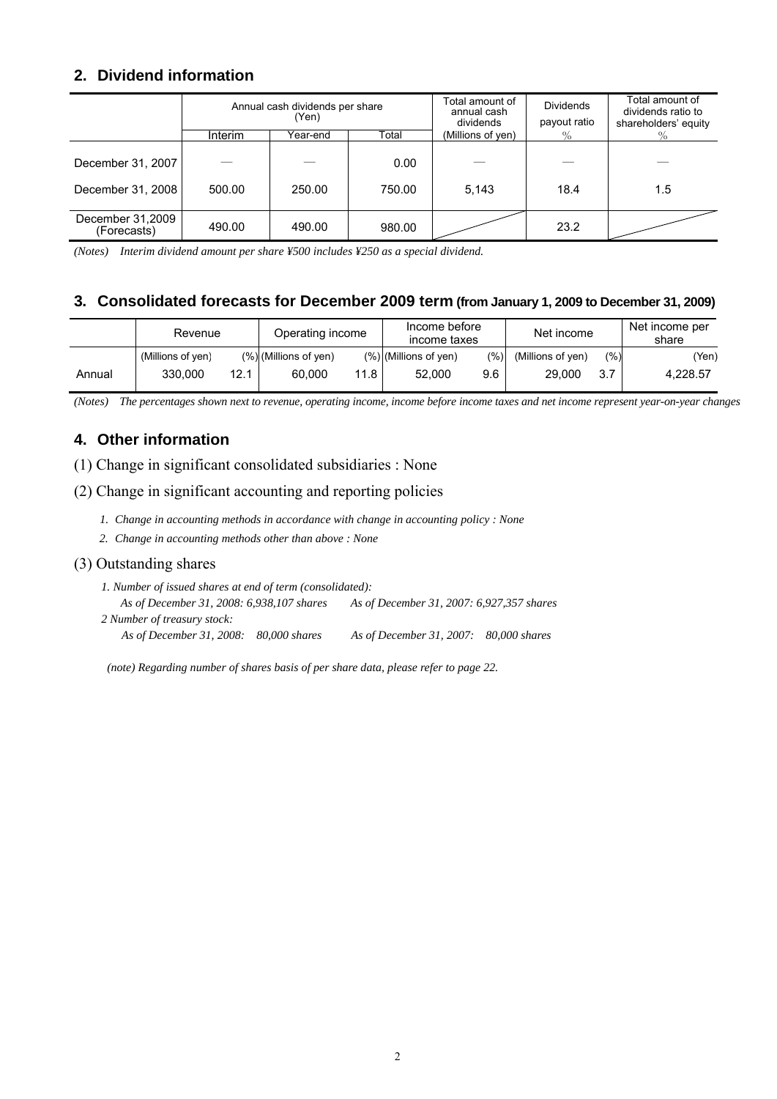# **2. Dividend information**

|                                        | Annual cash dividends per share<br>(Yen) |          |                | Total amount of<br>annual cash<br>dividends | <b>Dividends</b><br>payout ratio | Total amount of<br>dividends ratio to<br>shareholders' equity |
|----------------------------------------|------------------------------------------|----------|----------------|---------------------------------------------|----------------------------------|---------------------------------------------------------------|
|                                        | Interim                                  | Year-end | Total          | (Millions of yen)                           | $\%$                             | $\%$                                                          |
| December 31, 2007<br>December 31, 2008 | 500.00                                   | 250.00   | 0.00<br>750.00 | 5,143                                       | 18.4                             | 1.5                                                           |
| December 31,2009<br>(Forecasts)        | 490.00                                   | 490.00   | 980.00         |                                             | 23.2                             |                                                               |

*(Notes) Interim dividend amount per share ¥500 includes ¥250 as a special dividend.* 

# **3. Consolidated forecasts for December 2009 term (from January 1, 2009 to December 31, 2009)**

|        | Revenue           |      | Operating income         |      | Income before<br>income taxes |         | Net income        |     | Net income per<br>share |
|--------|-------------------|------|--------------------------|------|-------------------------------|---------|-------------------|-----|-------------------------|
|        | (Millions of yen) |      | $(\%)$ (Millions of yen) |      | $(\%)$ (Millions of yen)      | $(\%)]$ | (Millions of yen) | (%) | (Yen)                   |
| Annual | 330.000           | 12.1 | 60,000                   | 11.8 | 52.000                        | 9.6     | 29,000            | 3.7 | 4.228.57                |

*(Notes) The percentages shown next to revenue, operating income, income before income taxes and net income represent year-on-year changes* 

# **4. Other information**

(1) Change in significant consolidated subsidiaries : None

#### (2) Change in significant accounting and reporting policies

- *1. Change in accounting methods in accordance with change in accounting policy : None*
- *2. Change in accounting methods other than above : None*

#### (3) Outstanding shares

*1. Number of issued shares at end of term (consolidated): As of December 31, 2008: 6,938,107 shares As of December 31, 2007: 6,927,357 shares 2 Number of treasury stock: As of December 31, 2008: 80,000 shares As of December 31, 2007: 80,000 shares* 

 *(note) Regarding number of shares basis of per share data, please refer to page 22.*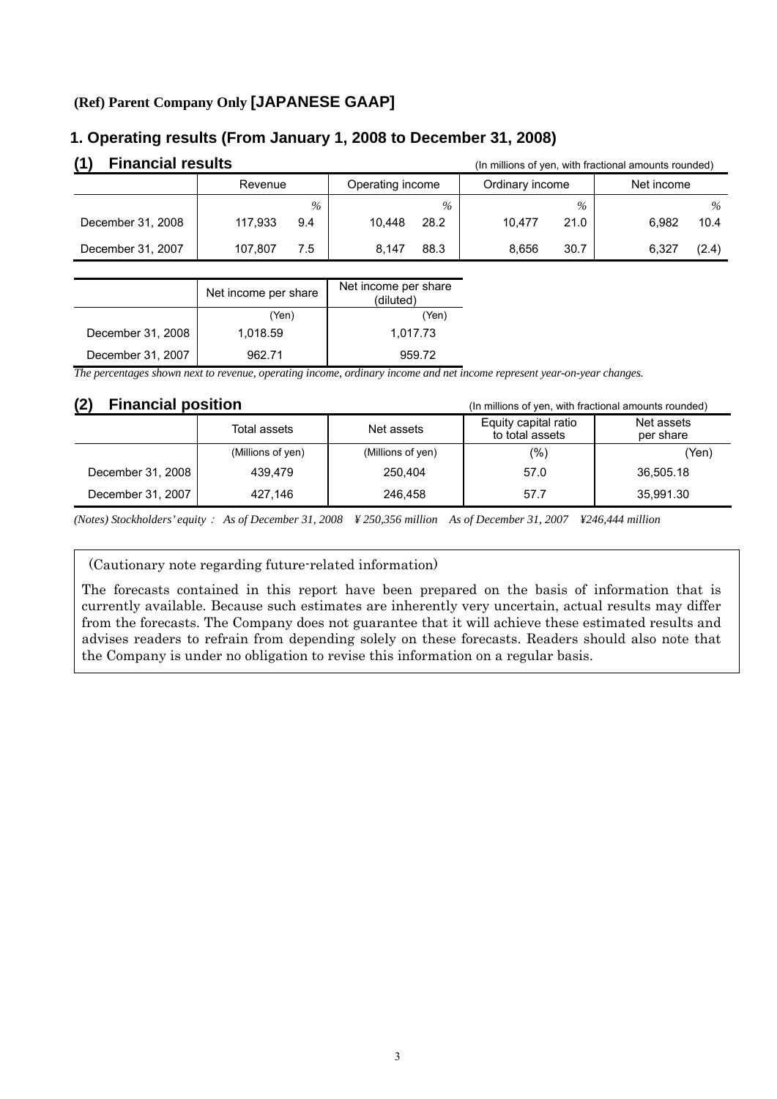# **(Ref) Parent Company Only [JAPANESE GAAP]**

# (1) Financial results **and State and Tensists** (In millions of yen, with fractional amounts rounded) Revenue | Operating income | Ordinary income | Net income  *% % % %* December 31, 2008 | 117,933 9.4 | 10,448 28.2 | 10,477 21.0 | 6,982 10.4 December 31, 2007 | 107,807 7.5 | 8,147 88.3 | 8,656 30.7 | 6,327 (2.4)

# **1. Operating results (From January 1, 2008 to December 31, 2008)**

|                   | Net income per share | Net income per share<br>(diluted) |
|-------------------|----------------------|-----------------------------------|
|                   | (Yen)                | (Yen)                             |
| December 31, 2008 | 1,018.59             | 1,017.73                          |
| December 31, 2007 | 962 71               | 959.72                            |

*The percentages shown next to revenue, operating income, ordinary income and net income represent year-on-year changes.*

**(2) Financial position** (In millions of yen, with fractional amounts rounded)

|                   | Total assets      | Net assets        | Equity capital ratio<br>to total assets | Net assets<br>per share |
|-------------------|-------------------|-------------------|-----------------------------------------|-------------------------|
|                   | (Millions of yen) | (Millions of yen) | $(\%)$                                  | (Yen)                   |
| December 31, 2008 | 439.479           | 250.404           | 57.0                                    | 36.505.18               |
| December 31, 2007 | 427.146           | 246.458           | 57.7                                    | 35,991.30               |

*(Notes) Stockholders' equity*: *As of December 31, 2008 ¥ 250,356 million As of December 31, 2007 ¥246,444 million* 

(Cautionary note regarding future-related information)

The forecasts contained in this report have been prepared on the basis of information that is currently available. Because such estimates are inherently very uncertain, actual results may differ from the forecasts. The Company does not guarantee that it will achieve these estimated results and advises readers to refrain from depending solely on these forecasts. Readers should also note that the Company is under no obligation to revise this information on a regular basis.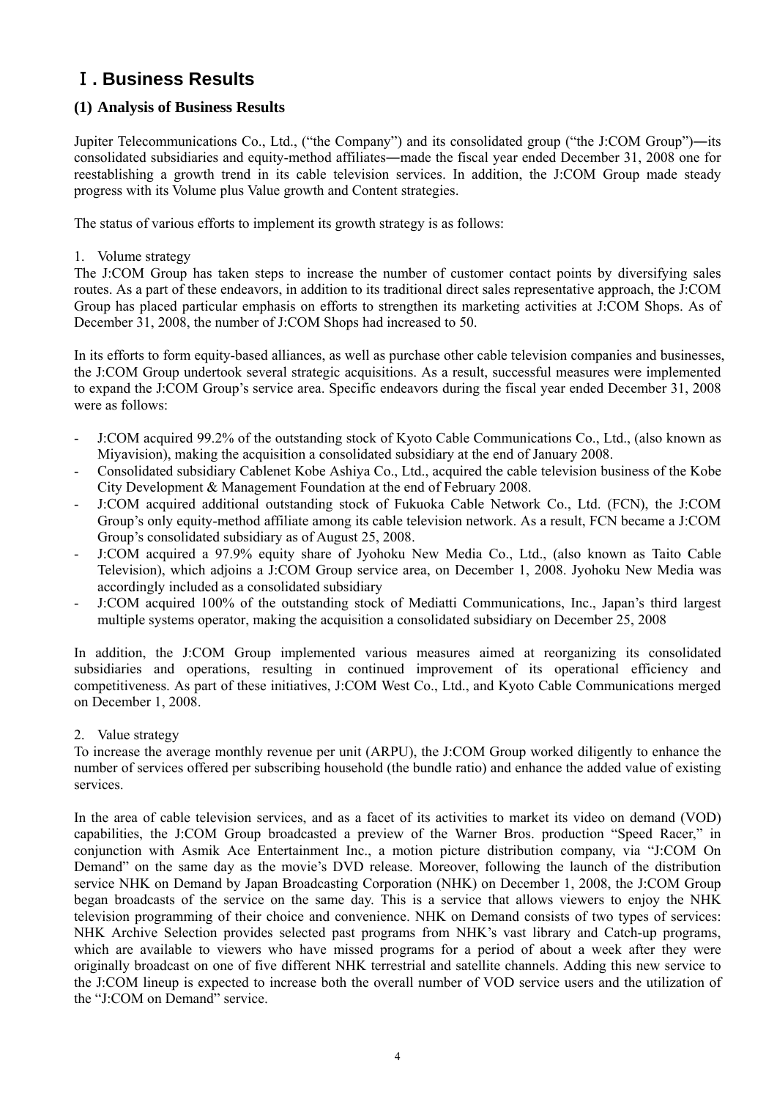# Ⅰ**. Business Results**

# **(1) Analysis of Business Results**

Jupiter Telecommunications Co., Ltd., ("the Company") and its consolidated group ("the J:COM Group")―its consolidated subsidiaries and equity-method affiliates―made the fiscal year ended December 31, 2008 one for reestablishing a growth trend in its cable television services. In addition, the J:COM Group made steady progress with its Volume plus Value growth and Content strategies.

The status of various efforts to implement its growth strategy is as follows:

#### 1. Volume strategy

The J:COM Group has taken steps to increase the number of customer contact points by diversifying sales routes. As a part of these endeavors, in addition to its traditional direct sales representative approach, the J:COM Group has placed particular emphasis on efforts to strengthen its marketing activities at J:COM Shops. As of December 31, 2008, the number of J:COM Shops had increased to 50.

In its efforts to form equity-based alliances, as well as purchase other cable television companies and businesses, the J:COM Group undertook several strategic acquisitions. As a result, successful measures were implemented to expand the J:COM Group's service area. Specific endeavors during the fiscal year ended December 31, 2008 were as follows:

- J:COM acquired 99.2% of the outstanding stock of Kyoto Cable Communications Co., Ltd., (also known as Miyavision), making the acquisition a consolidated subsidiary at the end of January 2008.
- Consolidated subsidiary Cablenet Kobe Ashiya Co., Ltd., acquired the cable television business of the Kobe City Development & Management Foundation at the end of February 2008.
- J:COM acquired additional outstanding stock of Fukuoka Cable Network Co., Ltd. (FCN), the J:COM Group's only equity-method affiliate among its cable television network. As a result, FCN became a J:COM Group's consolidated subsidiary as of August 25, 2008.
- J:COM acquired a 97.9% equity share of Jyohoku New Media Co., Ltd., (also known as Taito Cable Television), which adjoins a J:COM Group service area, on December 1, 2008. Jyohoku New Media was accordingly included as a consolidated subsidiary
- J:COM acquired 100% of the outstanding stock of Mediatti Communications, Inc., Japan's third largest multiple systems operator, making the acquisition a consolidated subsidiary on December 25, 2008

In addition, the J:COM Group implemented various measures aimed at reorganizing its consolidated subsidiaries and operations, resulting in continued improvement of its operational efficiency and competitiveness. As part of these initiatives, J:COM West Co., Ltd., and Kyoto Cable Communications merged on December 1, 2008.

# 2. Value strategy

To increase the average monthly revenue per unit (ARPU), the J:COM Group worked diligently to enhance the number of services offered per subscribing household (the bundle ratio) and enhance the added value of existing services.

In the area of cable television services, and as a facet of its activities to market its video on demand (VOD) capabilities, the J:COM Group broadcasted a preview of the Warner Bros. production "Speed Racer," in conjunction with Asmik Ace Entertainment Inc., a motion picture distribution company, via "J:COM On Demand" on the same day as the movie's DVD release. Moreover, following the launch of the distribution service NHK on Demand by Japan Broadcasting Corporation (NHK) on December 1, 2008, the J:COM Group began broadcasts of the service on the same day. This is a service that allows viewers to enjoy the NHK television programming of their choice and convenience. NHK on Demand consists of two types of services: NHK Archive Selection provides selected past programs from NHK's vast library and Catch-up programs, which are available to viewers who have missed programs for a period of about a week after they were originally broadcast on one of five different NHK terrestrial and satellite channels. Adding this new service to the J:COM lineup is expected to increase both the overall number of VOD service users and the utilization of the "J:COM on Demand" service.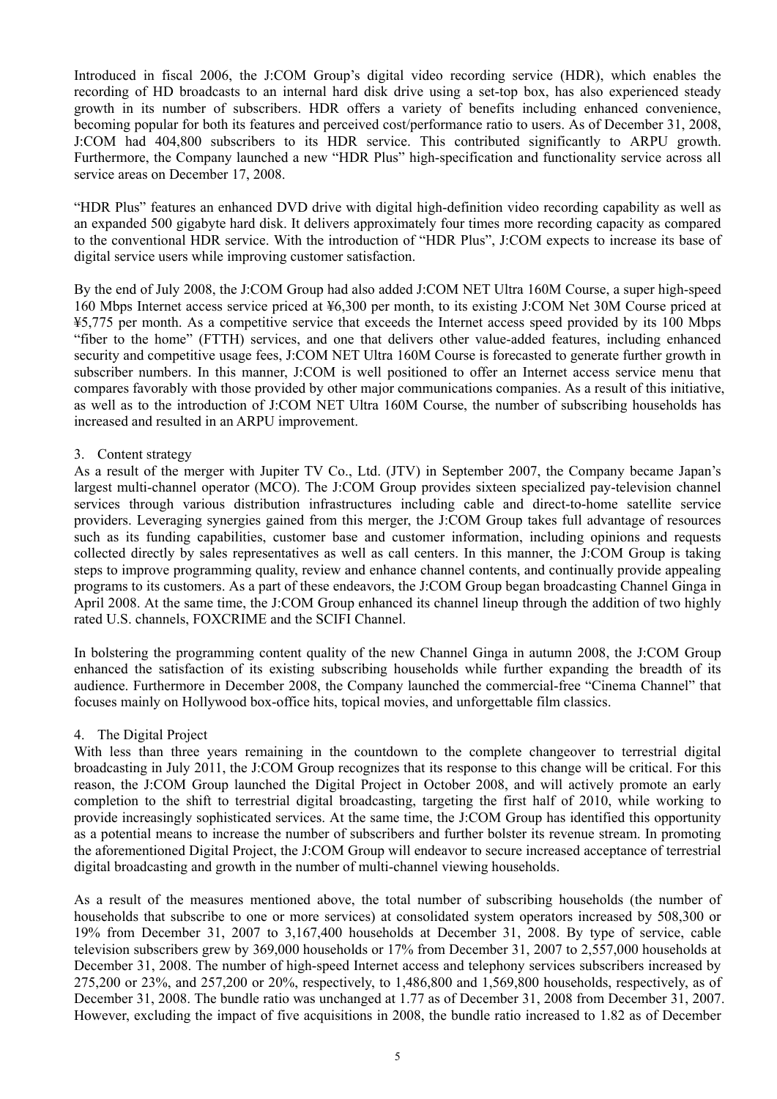Introduced in fiscal 2006, the J:COM Group's digital video recording service (HDR), which enables the recording of HD broadcasts to an internal hard disk drive using a set-top box, has also experienced steady growth in its number of subscribers. HDR offers a variety of benefits including enhanced convenience, becoming popular for both its features and perceived cost/performance ratio to users. As of December 31, 2008, J:COM had 404,800 subscribers to its HDR service. This contributed significantly to ARPU growth. Furthermore, the Company launched a new "HDR Plus" high-specification and functionality service across all service areas on December 17, 2008.

"HDR Plus" features an enhanced DVD drive with digital high-definition video recording capability as well as an expanded 500 gigabyte hard disk. It delivers approximately four times more recording capacity as compared to the conventional HDR service. With the introduction of "HDR Plus", J:COM expects to increase its base of digital service users while improving customer satisfaction.

By the end of July 2008, the J:COM Group had also added J:COM NET Ultra 160M Course, a super high-speed 160 Mbps Internet access service priced at ¥6,300 per month, to its existing J:COM Net 30M Course priced at ¥5,775 per month. As a competitive service that exceeds the Internet access speed provided by its 100 Mbps "fiber to the home" (FTTH) services, and one that delivers other value-added features, including enhanced security and competitive usage fees, J:COM NET Ultra 160M Course is forecasted to generate further growth in subscriber numbers. In this manner, J:COM is well positioned to offer an Internet access service menu that compares favorably with those provided by other major communications companies. As a result of this initiative, as well as to the introduction of J:COM NET Ultra 160M Course, the number of subscribing households has increased and resulted in an ARPU improvement.

#### 3. Content strategy

As a result of the merger with Jupiter TV Co., Ltd. (JTV) in September 2007, the Company became Japan's largest multi-channel operator (MCO). The J:COM Group provides sixteen specialized pay-television channel services through various distribution infrastructures including cable and direct-to-home satellite service providers. Leveraging synergies gained from this merger, the J:COM Group takes full advantage of resources such as its funding capabilities, customer base and customer information, including opinions and requests collected directly by sales representatives as well as call centers. In this manner, the J:COM Group is taking steps to improve programming quality, review and enhance channel contents, and continually provide appealing programs to its customers. As a part of these endeavors, the J:COM Group began broadcasting Channel Ginga in April 2008. At the same time, the J:COM Group enhanced its channel lineup through the addition of two highly rated U.S. channels, FOXCRIME and the SCIFI Channel.

In bolstering the programming content quality of the new Channel Ginga in autumn 2008, the J:COM Group enhanced the satisfaction of its existing subscribing households while further expanding the breadth of its audience. Furthermore in December 2008, the Company launched the commercial-free "Cinema Channel" that focuses mainly on Hollywood box-office hits, topical movies, and unforgettable film classics.

#### 4. The Digital Project

With less than three years remaining in the countdown to the complete changeover to terrestrial digital broadcasting in July 2011, the J:COM Group recognizes that its response to this change will be critical. For this reason, the J:COM Group launched the Digital Project in October 2008, and will actively promote an early completion to the shift to terrestrial digital broadcasting, targeting the first half of 2010, while working to provide increasingly sophisticated services. At the same time, the J:COM Group has identified this opportunity as a potential means to increase the number of subscribers and further bolster its revenue stream. In promoting the aforementioned Digital Project, the J:COM Group will endeavor to secure increased acceptance of terrestrial digital broadcasting and growth in the number of multi-channel viewing households.

As a result of the measures mentioned above, the total number of subscribing households (the number of households that subscribe to one or more services) at consolidated system operators increased by 508,300 or 19% from December 31, 2007 to 3,167,400 households at December 31, 2008. By type of service, cable television subscribers grew by 369,000 households or 17% from December 31, 2007 to 2,557,000 households at December 31, 2008. The number of high-speed Internet access and telephony services subscribers increased by 275,200 or 23%, and 257,200 or 20%, respectively, to 1,486,800 and 1,569,800 households, respectively, as of December 31, 2008. The bundle ratio was unchanged at 1.77 as of December 31, 2008 from December 31, 2007. However, excluding the impact of five acquisitions in 2008, the bundle ratio increased to 1.82 as of December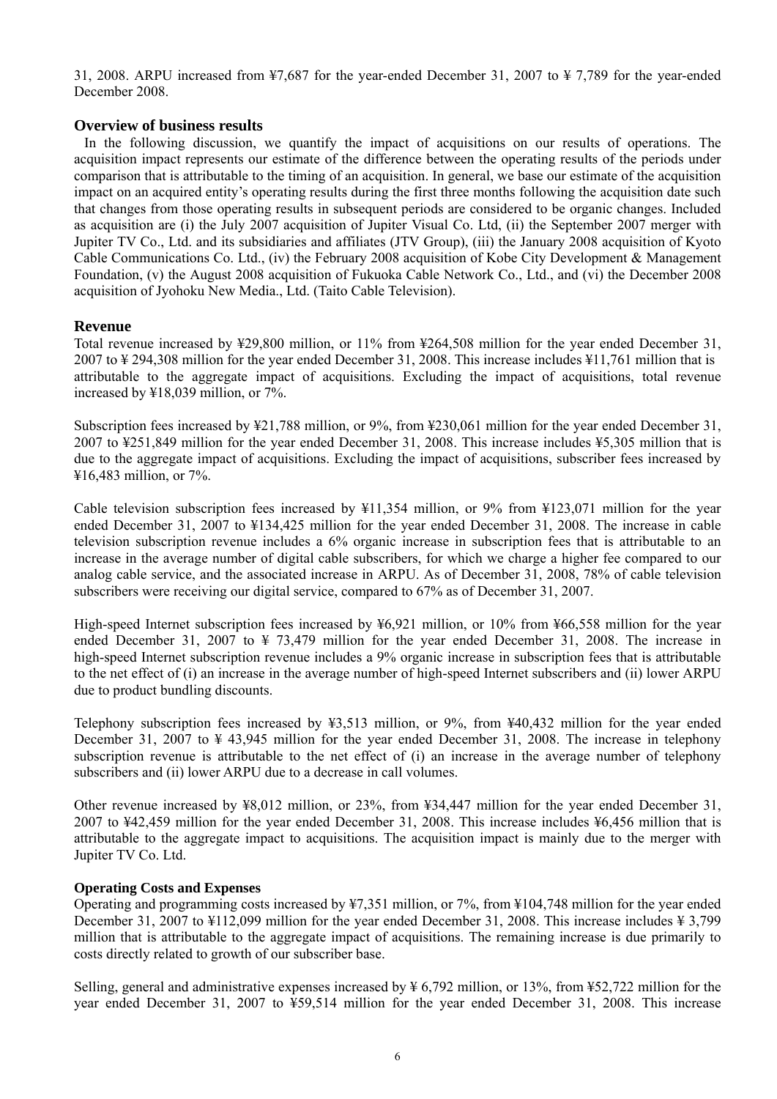31, 2008. ARPU increased from ¥7,687 for the year-ended December 31, 2007 to ¥ 7,789 for the year-ended December 2008.

### **Overview of business results**

 In the following discussion, we quantify the impact of acquisitions on our results of operations. The acquisition impact represents our estimate of the difference between the operating results of the periods under comparison that is attributable to the timing of an acquisition. In general, we base our estimate of the acquisition impact on an acquired entity's operating results during the first three months following the acquisition date such that changes from those operating results in subsequent periods are considered to be organic changes. Included as acquisition are (i) the July 2007 acquisition of Jupiter Visual Co. Ltd, (ii) the September 2007 merger with Jupiter TV Co., Ltd. and its subsidiaries and affiliates (JTV Group), (iii) the January 2008 acquisition of Kyoto Cable Communications Co. Ltd., (iv) the February 2008 acquisition of Kobe City Development & Management Foundation, (v) the August 2008 acquisition of Fukuoka Cable Network Co., Ltd., and (vi) the December 2008 acquisition of Jyohoku New Media., Ltd. (Taito Cable Television).

#### **Revenue**

Total revenue increased by ¥29,800 million, or 11% from ¥264,508 million for the year ended December 31, 2007 to ¥ 294,308 million for the year ended December 31, 2008. This increase includes ¥11,761 million that is attributable to the aggregate impact of acquisitions. Excluding the impact of acquisitions, total revenue increased by ¥18,039 million, or 7%.

Subscription fees increased by ¥21,788 million, or 9%, from ¥230,061 million for the year ended December 31, 2007 to ¥251,849 million for the year ended December 31, 2008. This increase includes ¥5,305 million that is due to the aggregate impact of acquisitions. Excluding the impact of acquisitions, subscriber fees increased by ¥16,483 million, or 7%.

Cable television subscription fees increased by  $\frac{11.354 \text{ million}}{1.354 \text{ million}}$  or 9% from  $\frac{123.071 \text{ million}}{1.354 \text{ million}}$  for the year ended December 31, 2007 to ¥134,425 million for the year ended December 31, 2008. The increase in cable television subscription revenue includes a 6% organic increase in subscription fees that is attributable to an increase in the average number of digital cable subscribers, for which we charge a higher fee compared to our analog cable service, and the associated increase in ARPU. As of December 31, 2008, 78% of cable television subscribers were receiving our digital service, compared to 67% as of December 31, 2007.

High-speed Internet subscription fees increased by ¥6,921 million, or 10% from ¥66,558 million for the year ended December 31, 2007 to ¥ 73,479 million for the year ended December 31, 2008. The increase in high-speed Internet subscription revenue includes a 9% organic increase in subscription fees that is attributable to the net effect of (i) an increase in the average number of high-speed Internet subscribers and (ii) lower ARPU due to product bundling discounts.

Telephony subscription fees increased by ¥3,513 million, or 9%, from ¥40,432 million for the year ended December 31, 2007 to ¥ 43,945 million for the year ended December 31, 2008. The increase in telephony subscription revenue is attributable to the net effect of (i) an increase in the average number of telephony subscribers and (ii) lower ARPU due to a decrease in call volumes.

Other revenue increased by ¥8,012 million, or 23%, from ¥34,447 million for the year ended December 31, 2007 to ¥42,459 million for the year ended December 31, 2008. This increase includes ¥6,456 million that is attributable to the aggregate impact to acquisitions. The acquisition impact is mainly due to the merger with Jupiter TV Co. Ltd.

#### **Operating Costs and Expenses**

Operating and programming costs increased by ¥7,351 million, or 7%, from ¥104,748 million for the year ended December 31, 2007 to ¥112,099 million for the year ended December 31, 2008. This increase includes ¥ 3,799 million that is attributable to the aggregate impact of acquisitions. The remaining increase is due primarily to costs directly related to growth of our subscriber base.

Selling, general and administrative expenses increased by ¥ 6,792 million, or 13%, from ¥52,722 million for the year ended December 31, 2007 to ¥59,514 million for the year ended December 31, 2008. This increase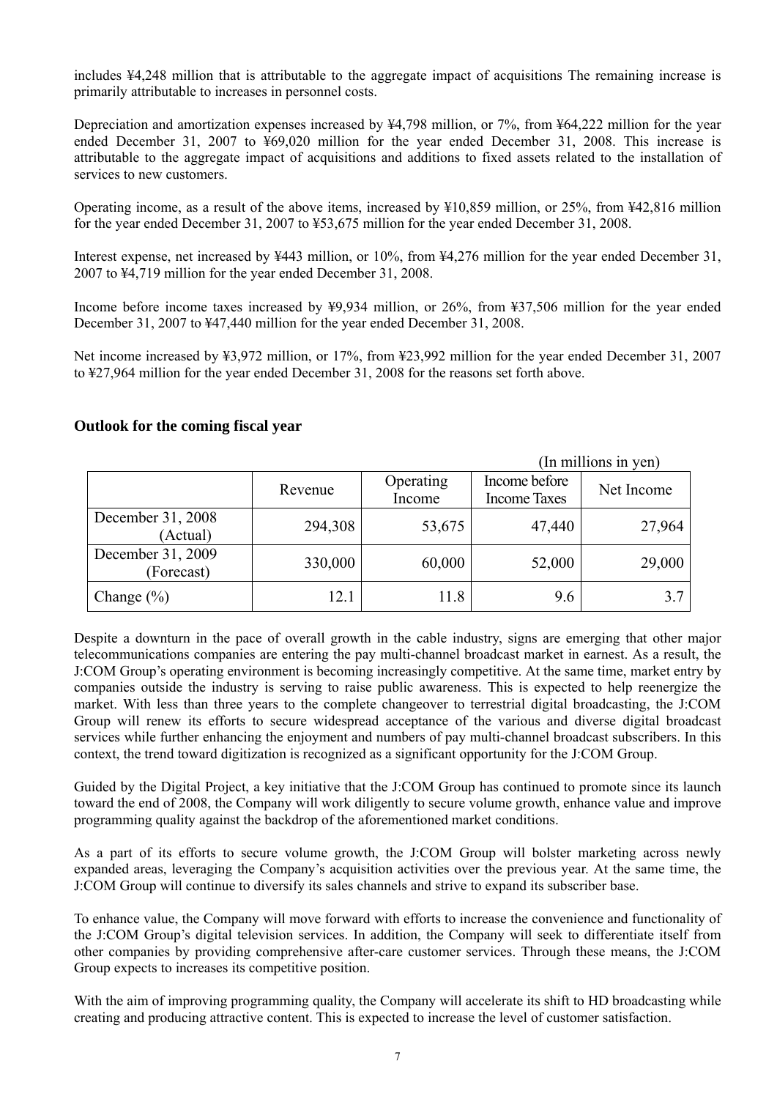includes ¥4,248 million that is attributable to the aggregate impact of acquisitions The remaining increase is primarily attributable to increases in personnel costs.

Depreciation and amortization expenses increased by ¥4,798 million, or 7%, from ¥64,222 million for the year ended December 31, 2007 to ¥69,020 million for the year ended December 31, 2008. This increase is attributable to the aggregate impact of acquisitions and additions to fixed assets related to the installation of services to new customers.

Operating income, as a result of the above items, increased by ¥10,859 million, or 25%, from ¥42,816 million for the year ended December 31, 2007 to ¥53,675 million for the year ended December 31, 2008.

Interest expense, net increased by ¥443 million, or 10%, from ¥4,276 million for the year ended December 31, 2007 to ¥4,719 million for the year ended December 31, 2008.

Income before income taxes increased by ¥9,934 million, or 26%, from ¥37,506 million for the year ended December 31, 2007 to ¥47,440 million for the year ended December 31, 2008.

Net income increased by ¥3,972 million, or 17%, from ¥23,992 million for the year ended December 31, 2007 to ¥27,964 million for the year ended December 31, 2008 for the reasons set forth above.

# **Outlook for the coming fiscal year**

(In millions in yen) Revenue Operating Income Income before Income Taxes Net Income December 31, 2008 (Actual) 294,308 53,675 47,440 27,964 December 31, 2009 (Forecast)  $330,000$  60,000 52,000 29,000 Change  $(\%)$  12.1 11.8 9.6 3.7

Despite a downturn in the pace of overall growth in the cable industry, signs are emerging that other major telecommunications companies are entering the pay multi-channel broadcast market in earnest. As a result, the J:COM Group's operating environment is becoming increasingly competitive. At the same time, market entry by companies outside the industry is serving to raise public awareness. This is expected to help reenergize the market. With less than three years to the complete changeover to terrestrial digital broadcasting, the J:COM Group will renew its efforts to secure widespread acceptance of the various and diverse digital broadcast services while further enhancing the enjoyment and numbers of pay multi-channel broadcast subscribers. In this context, the trend toward digitization is recognized as a significant opportunity for the J:COM Group.

Guided by the Digital Project, a key initiative that the J:COM Group has continued to promote since its launch toward the end of 2008, the Company will work diligently to secure volume growth, enhance value and improve programming quality against the backdrop of the aforementioned market conditions.

As a part of its efforts to secure volume growth, the J:COM Group will bolster marketing across newly expanded areas, leveraging the Company's acquisition activities over the previous year. At the same time, the J:COM Group will continue to diversify its sales channels and strive to expand its subscriber base.

To enhance value, the Company will move forward with efforts to increase the convenience and functionality of the J:COM Group's digital television services. In addition, the Company will seek to differentiate itself from other companies by providing comprehensive after-care customer services. Through these means, the J:COM Group expects to increases its competitive position.

With the aim of improving programming quality, the Company will accelerate its shift to HD broadcasting while creating and producing attractive content. This is expected to increase the level of customer satisfaction.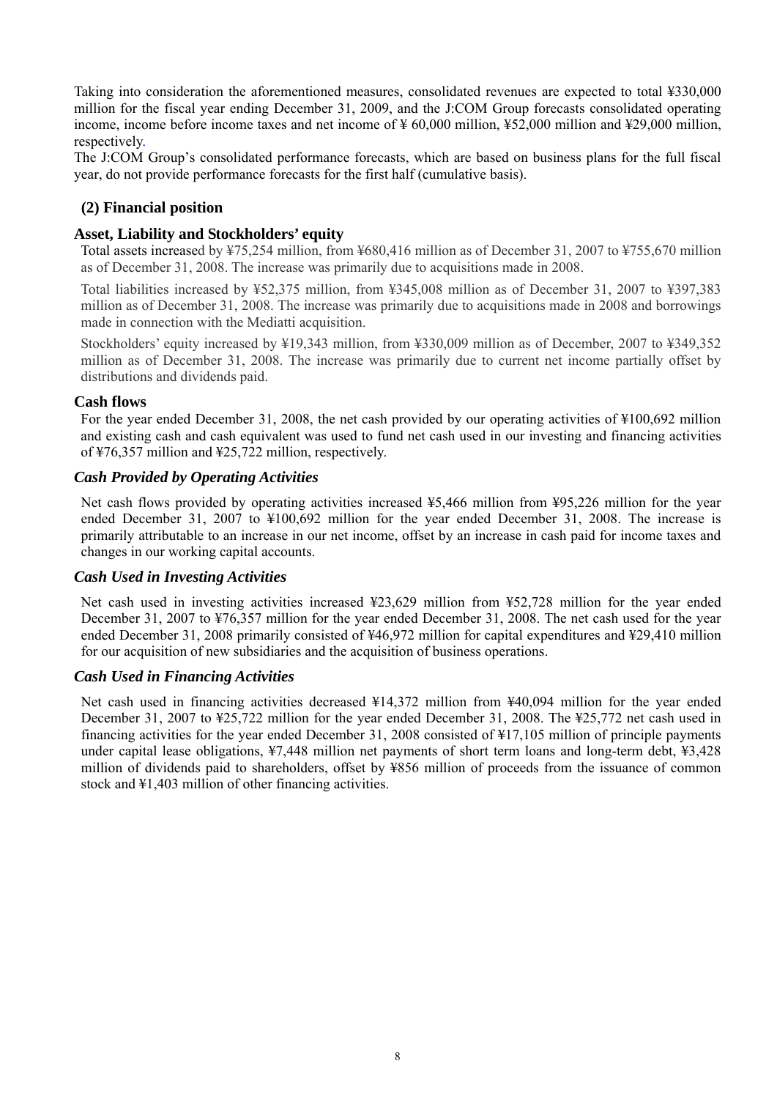Taking into consideration the aforementioned measures, consolidated revenues are expected to total ¥330,000 million for the fiscal year ending December 31, 2009, and the J:COM Group forecasts consolidated operating income, income before income taxes and net income of ¥ 60,000 million, ¥52,000 million and ¥29,000 million, respectively.

The J:COM Group's consolidated performance forecasts, which are based on business plans for the full fiscal year, do not provide performance forecasts for the first half (cumulative basis).

# **(2) Financial position**

### **Asset, Liability and Stockholders' equity**

Total assets increased by ¥75,254 million, from ¥680,416 million as of December 31, 2007 to ¥755,670 million as of December 31, 2008. The increase was primarily due to acquisitions made in 2008.

Total liabilities increased by ¥52,375 million, from ¥345,008 million as of December 31, 2007 to ¥397,383 million as of December 31, 2008. The increase was primarily due to acquisitions made in 2008 and borrowings made in connection with the Mediatti acquisition.

Stockholders' equity increased by ¥19,343 million, from ¥330,009 million as of December, 2007 to ¥349,352 million as of December 31, 2008. The increase was primarily due to current net income partially offset by distributions and dividends paid.

#### **Cash flows**

For the year ended December 31, 2008, the net cash provided by our operating activities of ¥100,692 million and existing cash and cash equivalent was used to fund net cash used in our investing and financing activities of ¥76,357 million and ¥25,722 million, respectively.

#### *Cash Provided by Operating Activities*

Net cash flows provided by operating activities increased ¥5,466 million from ¥95,226 million for the year ended December 31, 2007 to ¥100,692 million for the year ended December 31, 2008. The increase is primarily attributable to an increase in our net income, offset by an increase in cash paid for income taxes and changes in our working capital accounts.

# *Cash Used in Investing Activities*

Net cash used in investing activities increased ¥23,629 million from ¥52,728 million for the year ended December 31, 2007 to ¥76,357 million for the year ended December 31, 2008. The net cash used for the year ended December 31, 2008 primarily consisted of ¥46,972 million for capital expenditures and ¥29,410 million for our acquisition of new subsidiaries and the acquisition of business operations.

#### *Cash Used in Financing Activities*

Net cash used in financing activities decreased ¥14,372 million from ¥40,094 million for the year ended December 31, 2007 to ¥25,722 million for the year ended December 31, 2008. The ¥25,772 net cash used in financing activities for the year ended December 31, 2008 consisted of ¥17,105 million of principle payments under capital lease obligations, ¥7,448 million net payments of short term loans and long-term debt, ¥3,428 million of dividends paid to shareholders, offset by ¥856 million of proceeds from the issuance of common stock and ¥1,403 million of other financing activities.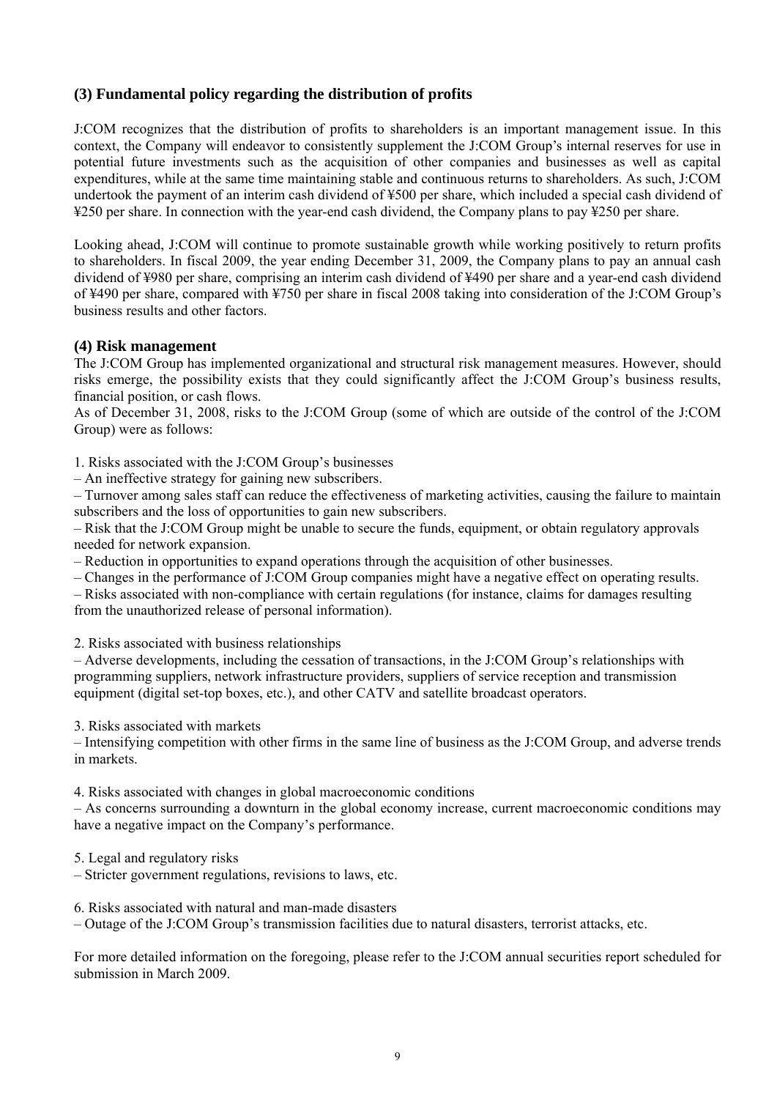# **(3) Fundamental policy regarding the distribution of profits**

J:COM recognizes that the distribution of profits to shareholders is an important management issue. In this context, the Company will endeavor to consistently supplement the J:COM Group's internal reserves for use in potential future investments such as the acquisition of other companies and businesses as well as capital expenditures, while at the same time maintaining stable and continuous returns to shareholders. As such, J:COM undertook the payment of an interim cash dividend of ¥500 per share, which included a special cash dividend of ¥250 per share. In connection with the year-end cash dividend, the Company plans to pay ¥250 per share.

Looking ahead, J:COM will continue to promote sustainable growth while working positively to return profits to shareholders. In fiscal 2009, the year ending December 31, 2009, the Company plans to pay an annual cash dividend of ¥980 per share, comprising an interim cash dividend of ¥490 per share and a year-end cash dividend of ¥490 per share, compared with ¥750 per share in fiscal 2008 taking into consideration of the J:COM Group's business results and other factors.

#### **(4) Risk management**

The J:COM Group has implemented organizational and structural risk management measures. However, should risks emerge, the possibility exists that they could significantly affect the J:COM Group's business results, financial position, or cash flows.

As of December 31, 2008, risks to the J:COM Group (some of which are outside of the control of the J:COM Group) were as follows:

1. Risks associated with the J:COM Group's businesses

– An ineffective strategy for gaining new subscribers.

– Turnover among sales staff can reduce the effectiveness of marketing activities, causing the failure to maintain subscribers and the loss of opportunities to gain new subscribers.

– Risk that the J:COM Group might be unable to secure the funds, equipment, or obtain regulatory approvals needed for network expansion.

– Reduction in opportunities to expand operations through the acquisition of other businesses.

– Changes in the performance of J:COM Group companies might have a negative effect on operating results.

– Risks associated with non-compliance with certain regulations (for instance, claims for damages resulting from the unauthorized release of personal information).

2. Risks associated with business relationships

– Adverse developments, including the cessation of transactions, in the J:COM Group's relationships with programming suppliers, network infrastructure providers, suppliers of service reception and transmission equipment (digital set-top boxes, etc.), and other CATV and satellite broadcast operators.

3. Risks associated with markets

– Intensifying competition with other firms in the same line of business as the J:COM Group, and adverse trends in markets.

4. Risks associated with changes in global macroeconomic conditions

– As concerns surrounding a downturn in the global economy increase, current macroeconomic conditions may have a negative impact on the Company's performance.

5. Legal and regulatory risks

– Stricter government regulations, revisions to laws, etc.

6. Risks associated with natural and man-made disasters

– Outage of the J:COM Group's transmission facilities due to natural disasters, terrorist attacks, etc.

For more detailed information on the foregoing, please refer to the J:COM annual securities report scheduled for submission in March 2009.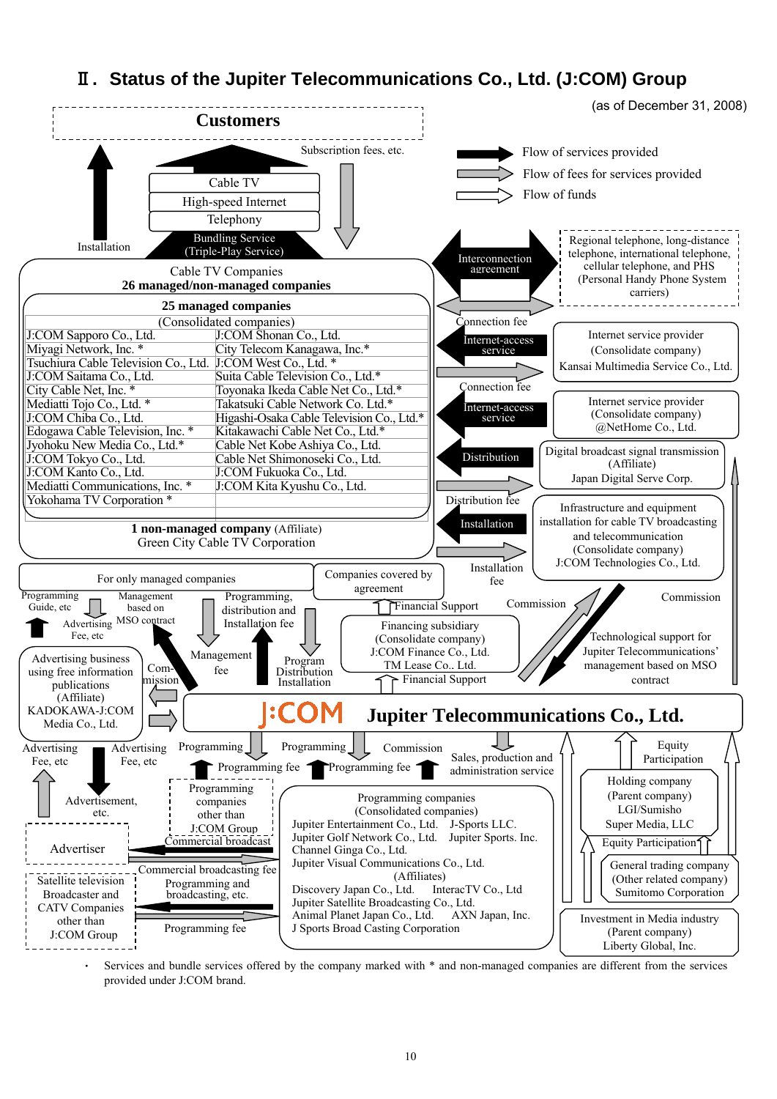# Ⅱ**. Status of the Jupiter Telecommunications Co., Ltd. (J:COM) Group**



Services and bundle services offered by the company marked with \* and non-managed companies are different from the services provided under J:COM brand.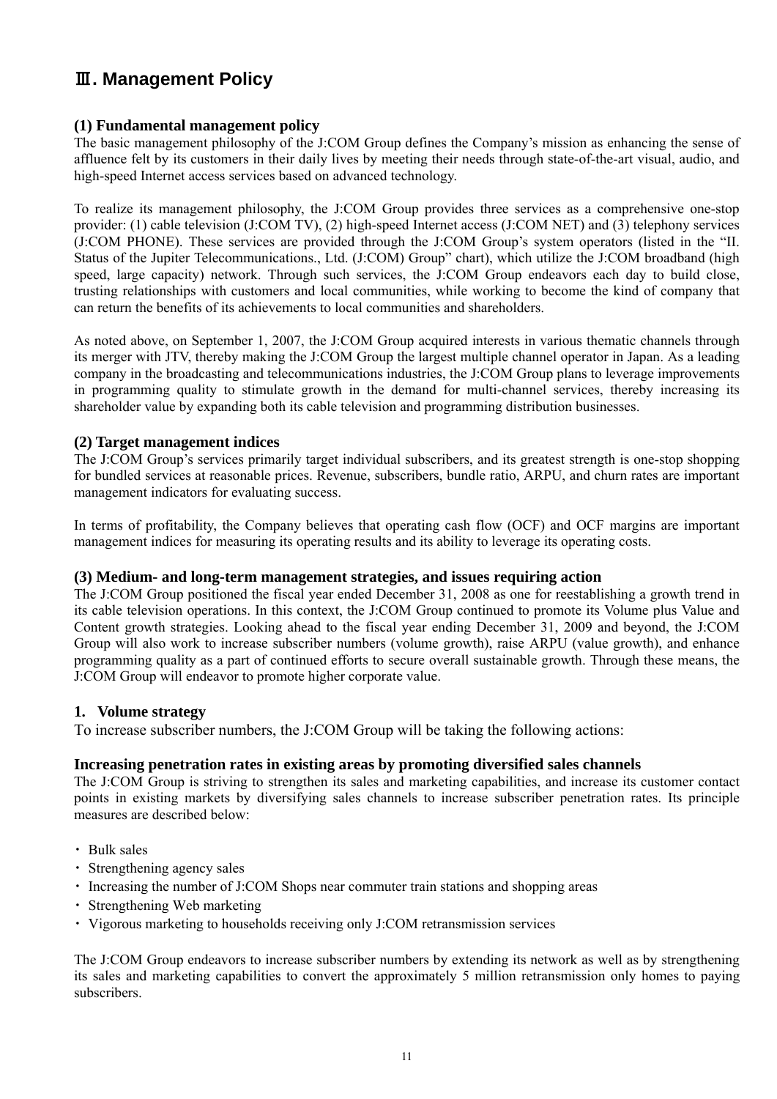# Ⅲ**. Management Policy**

# **(1) Fundamental management policy**

The basic management philosophy of the J:COM Group defines the Company's mission as enhancing the sense of affluence felt by its customers in their daily lives by meeting their needs through state-of-the-art visual, audio, and high-speed Internet access services based on advanced technology.

To realize its management philosophy, the J:COM Group provides three services as a comprehensive one-stop provider: (1) cable television (J:COM TV), (2) high-speed Internet access (J:COM NET) and (3) telephony services (J:COM PHONE). These services are provided through the J:COM Group's system operators (listed in the "II. Status of the Jupiter Telecommunications., Ltd. (J:COM) Group" chart), which utilize the J:COM broadband (high speed, large capacity) network. Through such services, the J:COM Group endeavors each day to build close, trusting relationships with customers and local communities, while working to become the kind of company that can return the benefits of its achievements to local communities and shareholders.

As noted above, on September 1, 2007, the J:COM Group acquired interests in various thematic channels through its merger with JTV, thereby making the J:COM Group the largest multiple channel operator in Japan. As a leading company in the broadcasting and telecommunications industries, the J:COM Group plans to leverage improvements in programming quality to stimulate growth in the demand for multi-channel services, thereby increasing its shareholder value by expanding both its cable television and programming distribution businesses.

#### **(2) Target management indices**

The J:COM Group's services primarily target individual subscribers, and its greatest strength is one-stop shopping for bundled services at reasonable prices. Revenue, subscribers, bundle ratio, ARPU, and churn rates are important management indicators for evaluating success.

In terms of profitability, the Company believes that operating cash flow (OCF) and OCF margins are important management indices for measuring its operating results and its ability to leverage its operating costs.

#### **(3) Medium- and long-term management strategies, and issues requiring action**

The J:COM Group positioned the fiscal year ended December 31, 2008 as one for reestablishing a growth trend in its cable television operations. In this context, the J:COM Group continued to promote its Volume plus Value and Content growth strategies. Looking ahead to the fiscal year ending December 31, 2009 and beyond, the J:COM Group will also work to increase subscriber numbers (volume growth), raise ARPU (value growth), and enhance programming quality as a part of continued efforts to secure overall sustainable growth. Through these means, the J:COM Group will endeavor to promote higher corporate value.

# **1. Volume strategy**

To increase subscriber numbers, the J:COM Group will be taking the following actions:

# **Increasing penetration rates in existing areas by promoting diversified sales channels**

The J:COM Group is striving to strengthen its sales and marketing capabilities, and increase its customer contact points in existing markets by diversifying sales channels to increase subscriber penetration rates. Its principle measures are described below:

- ・ Bulk sales
- ・ Strengthening agency sales
- ・ Increasing the number of J:COM Shops near commuter train stations and shopping areas
- ・ Strengthening Web marketing
- ・ Vigorous marketing to households receiving only J:COM retransmission services

The J:COM Group endeavors to increase subscriber numbers by extending its network as well as by strengthening its sales and marketing capabilities to convert the approximately 5 million retransmission only homes to paying subscribers.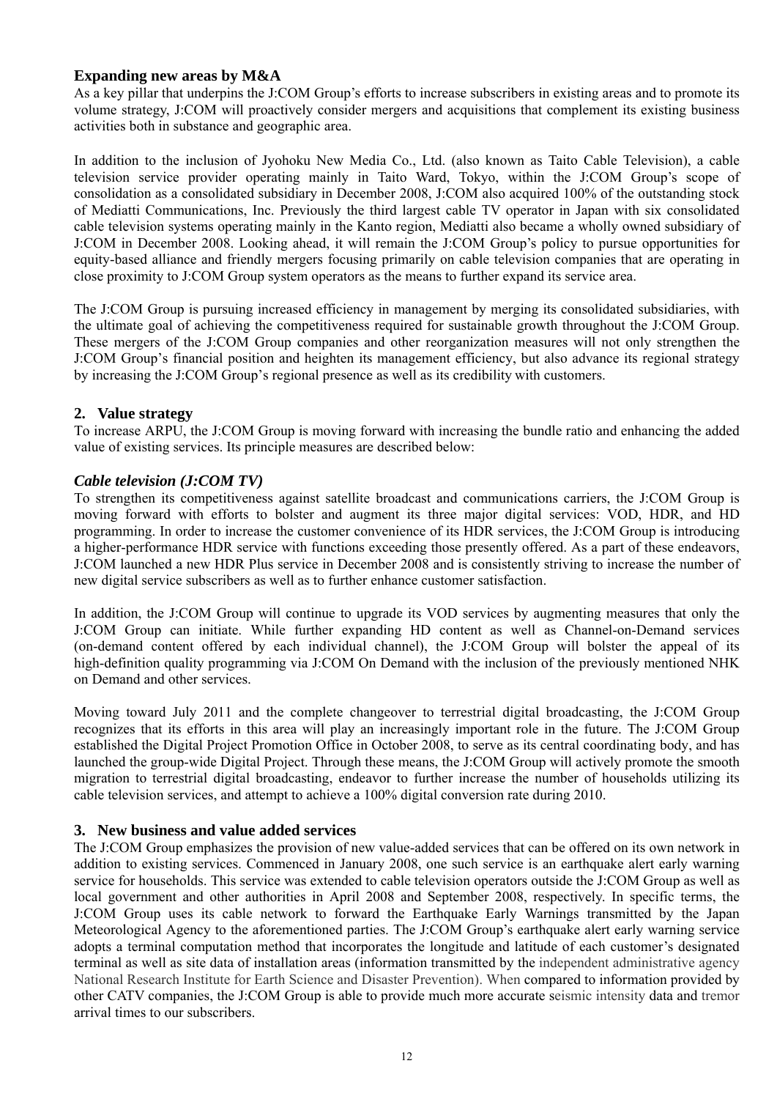# **Expanding new areas by M&A**

As a key pillar that underpins the J:COM Group's efforts to increase subscribers in existing areas and to promote its volume strategy, J:COM will proactively consider mergers and acquisitions that complement its existing business activities both in substance and geographic area.

In addition to the inclusion of Jyohoku New Media Co., Ltd. (also known as Taito Cable Television), a cable television service provider operating mainly in Taito Ward, Tokyo, within the J:COM Group's scope of consolidation as a consolidated subsidiary in December 2008, J:COM also acquired 100% of the outstanding stock of Mediatti Communications, Inc. Previously the third largest cable TV operator in Japan with six consolidated cable television systems operating mainly in the Kanto region, Mediatti also became a wholly owned subsidiary of J:COM in December 2008. Looking ahead, it will remain the J:COM Group's policy to pursue opportunities for equity-based alliance and friendly mergers focusing primarily on cable television companies that are operating in close proximity to J:COM Group system operators as the means to further expand its service area.

The J:COM Group is pursuing increased efficiency in management by merging its consolidated subsidiaries, with the ultimate goal of achieving the competitiveness required for sustainable growth throughout the J:COM Group. These mergers of the J:COM Group companies and other reorganization measures will not only strengthen the J:COM Group's financial position and heighten its management efficiency, but also advance its regional strategy by increasing the J:COM Group's regional presence as well as its credibility with customers.

# **2. Value strategy**

To increase ARPU, the J:COM Group is moving forward with increasing the bundle ratio and enhancing the added value of existing services. Its principle measures are described below:

# *Cable television (J:COM TV)*

To strengthen its competitiveness against satellite broadcast and communications carriers, the J:COM Group is moving forward with efforts to bolster and augment its three major digital services: VOD, HDR, and HD programming. In order to increase the customer convenience of its HDR services, the J:COM Group is introducing a higher-performance HDR service with functions exceeding those presently offered. As a part of these endeavors, J:COM launched a new HDR Plus service in December 2008 and is consistently striving to increase the number of new digital service subscribers as well as to further enhance customer satisfaction.

In addition, the J:COM Group will continue to upgrade its VOD services by augmenting measures that only the J:COM Group can initiate. While further expanding HD content as well as Channel-on-Demand services (on-demand content offered by each individual channel), the J:COM Group will bolster the appeal of its high-definition quality programming via J:COM On Demand with the inclusion of the previously mentioned NHK on Demand and other services.

Moving toward July 2011 and the complete changeover to terrestrial digital broadcasting, the J:COM Group recognizes that its efforts in this area will play an increasingly important role in the future. The J:COM Group established the Digital Project Promotion Office in October 2008, to serve as its central coordinating body, and has launched the group-wide Digital Project. Through these means, the J:COM Group will actively promote the smooth migration to terrestrial digital broadcasting, endeavor to further increase the number of households utilizing its cable television services, and attempt to achieve a 100% digital conversion rate during 2010.

# **3. New business and value added services**

The J:COM Group emphasizes the provision of new value-added services that can be offered on its own network in addition to existing services. Commenced in January 2008, one such service is an earthquake alert early warning service for households. This service was extended to cable television operators outside the J:COM Group as well as local government and other authorities in April 2008 and September 2008, respectively. In specific terms, the J:COM Group uses its cable network to forward the Earthquake Early Warnings transmitted by the Japan Meteorological Agency to the aforementioned parties. The J:COM Group's earthquake alert early warning service adopts a terminal computation method that incorporates the longitude and latitude of each customer's designated terminal as well as site data of installation areas (information transmitted by the independent administrative agency National Research Institute for Earth Science and Disaster Prevention). When compared to information provided by other CATV companies, the J:COM Group is able to provide much more accurate seismic intensity data and tremor arrival times to our subscribers.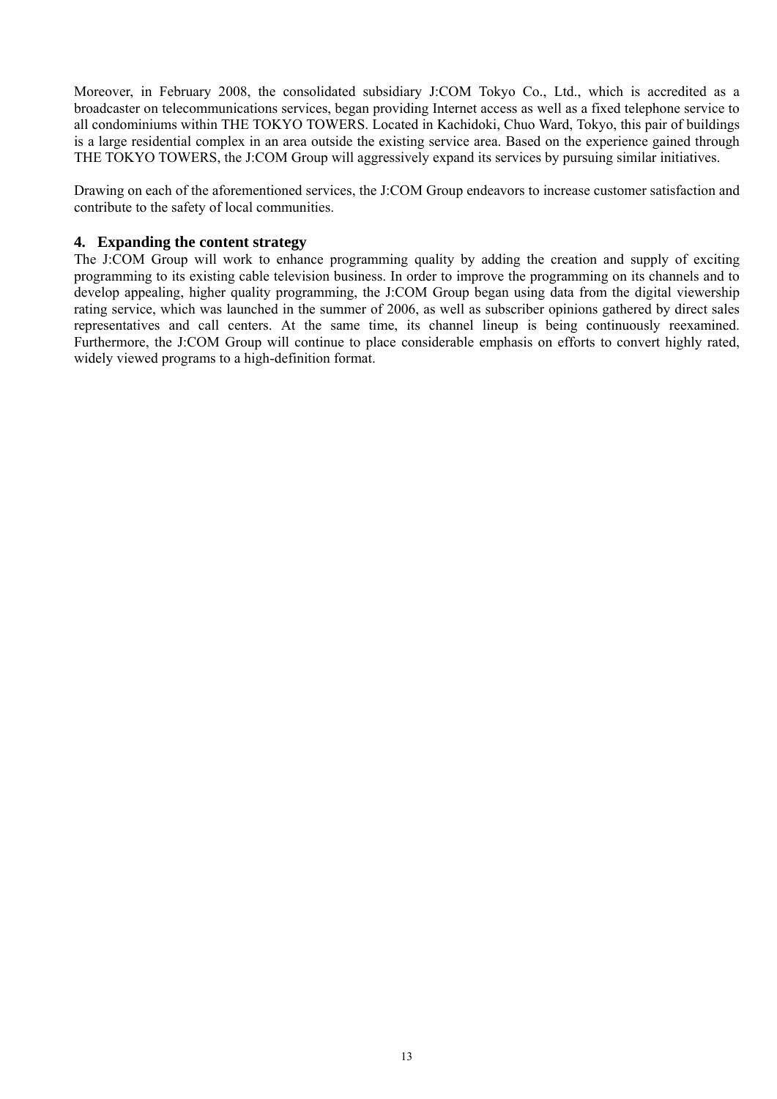Moreover, in February 2008, the consolidated subsidiary J:COM Tokyo Co., Ltd., which is accredited as a broadcaster on telecommunications services, began providing Internet access as well as a fixed telephone service to all condominiums within THE TOKYO TOWERS. Located in Kachidoki, Chuo Ward, Tokyo, this pair of buildings is a large residential complex in an area outside the existing service area. Based on the experience gained through THE TOKYO TOWERS, the J:COM Group will aggressively expand its services by pursuing similar initiatives.

Drawing on each of the aforementioned services, the J:COM Group endeavors to increase customer satisfaction and contribute to the safety of local communities.

# **4. Expanding the content strategy**

The J:COM Group will work to enhance programming quality by adding the creation and supply of exciting programming to its existing cable television business. In order to improve the programming on its channels and to develop appealing, higher quality programming, the J:COM Group began using data from the digital viewership rating service, which was launched in the summer of 2006, as well as subscriber opinions gathered by direct sales representatives and call centers. At the same time, its channel lineup is being continuously reexamined. Furthermore, the J:COM Group will continue to place considerable emphasis on efforts to convert highly rated, widely viewed programs to a high-definition format.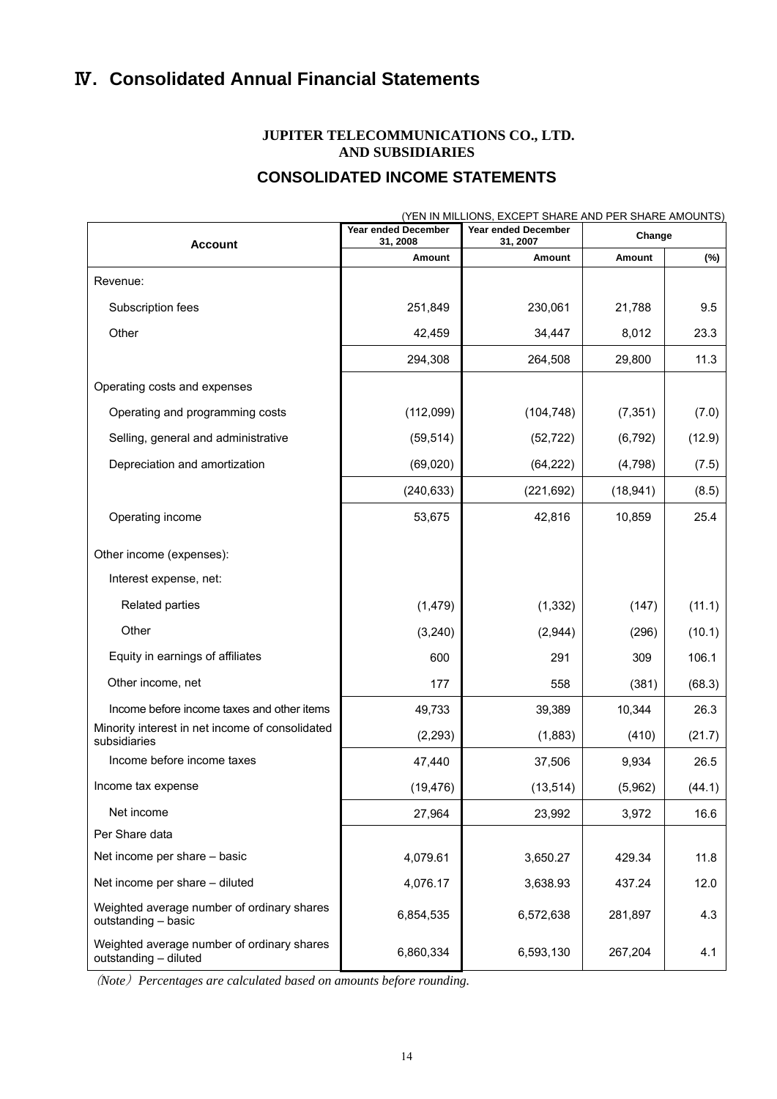# Ⅳ**. Consolidated Annual Financial Statements**

# **JUPITER TELECOMMUNICATIONS CO., LTD. AND SUBSIDIARIES**

# **CONSOLIDATED INCOME STATEMENTS**

|                                                                     | Year ended December | (YEN IN MILLIONS, EXCEPT SHARE AND PER SHARE AMOUNTS)<br><b>Year ended December</b> | Change    |        |
|---------------------------------------------------------------------|---------------------|-------------------------------------------------------------------------------------|-----------|--------|
| <b>Account</b>                                                      | 31, 2008<br>Amount  | 31, 2007<br>Amount                                                                  | Amount    | (%)    |
| Revenue:                                                            |                     |                                                                                     |           |        |
| Subscription fees                                                   | 251,849             | 230,061                                                                             | 21,788    | 9.5    |
| Other                                                               | 42,459              | 34,447                                                                              | 8,012     | 23.3   |
|                                                                     | 294,308             | 264,508                                                                             | 29,800    | 11.3   |
| Operating costs and expenses                                        |                     |                                                                                     |           |        |
| Operating and programming costs                                     | (112,099)           | (104, 748)                                                                          | (7, 351)  | (7.0)  |
| Selling, general and administrative                                 | (59, 514)           | (52, 722)                                                                           | (6, 792)  | (12.9) |
| Depreciation and amortization                                       | (69, 020)           | (64, 222)                                                                           | (4,798)   | (7.5)  |
|                                                                     | (240, 633)          | (221, 692)                                                                          | (18, 941) | (8.5)  |
| Operating income                                                    | 53,675              | 42,816                                                                              | 10,859    | 25.4   |
| Other income (expenses):                                            |                     |                                                                                     |           |        |
| Interest expense, net:                                              |                     |                                                                                     |           |        |
| <b>Related parties</b>                                              | (1, 479)            | (1, 332)                                                                            | (147)     | (11.1) |
| Other                                                               | (3, 240)            | (2,944)                                                                             | (296)     | (10.1) |
| Equity in earnings of affiliates                                    | 600                 | 291                                                                                 | 309       | 106.1  |
| Other income, net                                                   | 177                 | 558                                                                                 | (381)     | (68.3) |
| Income before income taxes and other items                          | 49,733              | 39,389                                                                              | 10,344    | 26.3   |
| Minority interest in net income of consolidated<br>subsidiaries     | (2, 293)            | (1,883)                                                                             | (410)     | (21.7) |
| Income before income taxes                                          | 47,440              | 37,506                                                                              | 9,934     | 26.5   |
| Income tax expense                                                  | (19, 476)           | (13, 514)                                                                           | (5,962)   | (44.1) |
| Net income                                                          | 27,964              | 23,992                                                                              | 3,972     | 16.6   |
| Per Share data                                                      |                     |                                                                                     |           |        |
| Net income per share - basic                                        | 4,079.61            | 3,650.27                                                                            | 429.34    | 11.8   |
| Net income per share - diluted                                      | 4,076.17            | 3,638.93                                                                            | 437.24    | 12.0   |
| Weighted average number of ordinary shares<br>outstanding - basic   | 6,854,535           | 6,572,638                                                                           | 281,897   | 4.3    |
| Weighted average number of ordinary shares<br>outstanding - diluted | 6,860,334           | 6,593,130                                                                           | 267,204   | 4.1    |

(*Note*)*Percentages are calculated based on amounts before rounding.*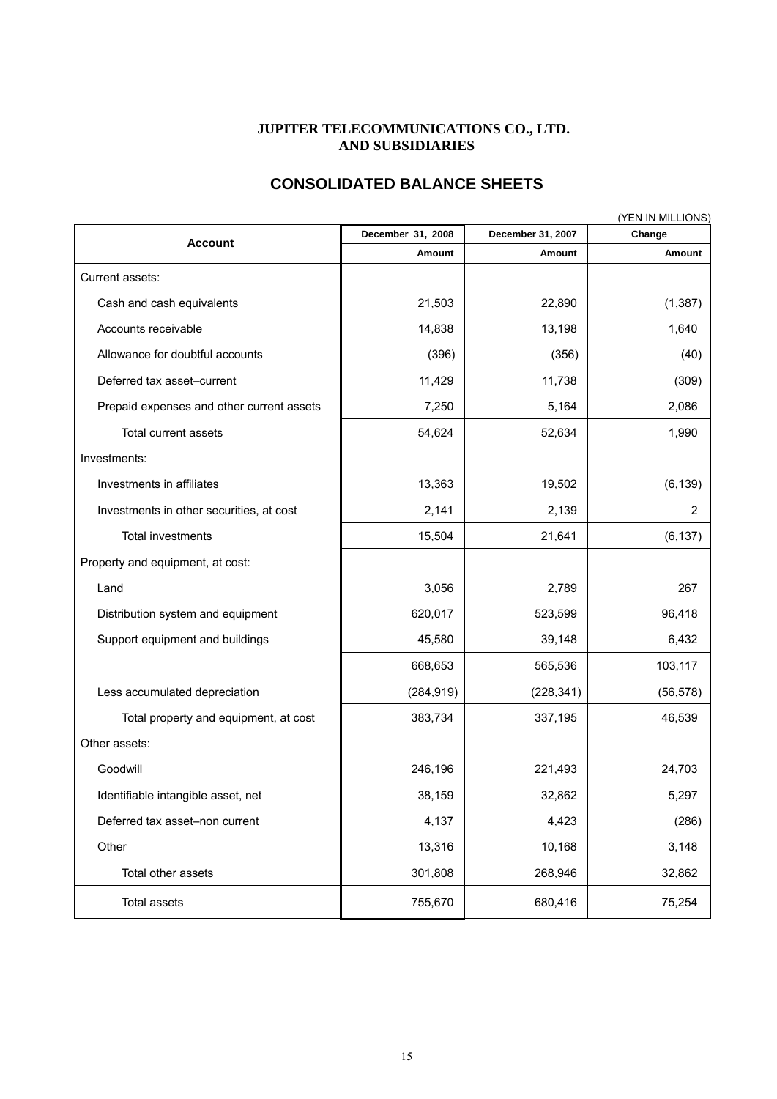#### **JUPITER TELECOMMUNICATIONS CO., LTD. AND SUBSIDIARIES**

# **CONSOLIDATED BALANCE SHEETS**

| (YEN IN MILLIONS)                         |                   |                   |               |  |  |  |  |
|-------------------------------------------|-------------------|-------------------|---------------|--|--|--|--|
| <b>Account</b>                            | December 31, 2008 | December 31, 2007 | Change        |  |  |  |  |
|                                           | Amount            | Amount            | <b>Amount</b> |  |  |  |  |
| Current assets:                           |                   |                   |               |  |  |  |  |
| Cash and cash equivalents                 | 21,503            | 22,890            | (1, 387)      |  |  |  |  |
| Accounts receivable                       | 14,838            | 13,198            | 1,640         |  |  |  |  |
| Allowance for doubtful accounts           | (396)             | (356)             | (40)          |  |  |  |  |
| Deferred tax asset-current                | 11,429            | 11,738            | (309)         |  |  |  |  |
| Prepaid expenses and other current assets | 7,250             | 5,164             | 2,086         |  |  |  |  |
| Total current assets                      | 54,624            | 52,634            | 1,990         |  |  |  |  |
| Investments:                              |                   |                   |               |  |  |  |  |
| Investments in affiliates                 | 13,363            | 19,502            | (6, 139)      |  |  |  |  |
| Investments in other securities, at cost  | 2,141             | 2,139             | 2             |  |  |  |  |
| <b>Total investments</b>                  | 15,504            | 21,641            | (6, 137)      |  |  |  |  |
| Property and equipment, at cost:          |                   |                   |               |  |  |  |  |
| Land                                      | 3,056             | 2,789             | 267           |  |  |  |  |
| Distribution system and equipment         | 620,017           | 523,599           | 96,418        |  |  |  |  |
| Support equipment and buildings           | 45,580            | 39,148            | 6,432         |  |  |  |  |
|                                           | 668,653           | 565,536           | 103,117       |  |  |  |  |
| Less accumulated depreciation             | (284, 919)        | (228, 341)        | (56, 578)     |  |  |  |  |
| Total property and equipment, at cost     | 383,734           | 337,195           | 46,539        |  |  |  |  |
| Other assets:                             |                   |                   |               |  |  |  |  |
| Goodwill                                  | 246,196           | 221,493           | 24,703        |  |  |  |  |
| Identifiable intangible asset, net        | 38,159            | 32,862            | 5,297         |  |  |  |  |
| Deferred tax asset-non current            | 4,137             | 4,423             | (286)         |  |  |  |  |
| Other                                     | 13,316            | 10,168            | 3,148         |  |  |  |  |
| Total other assets                        | 301,808           | 268,946           | 32,862        |  |  |  |  |
| Total assets                              | 755,670           | 680,416           | 75,254        |  |  |  |  |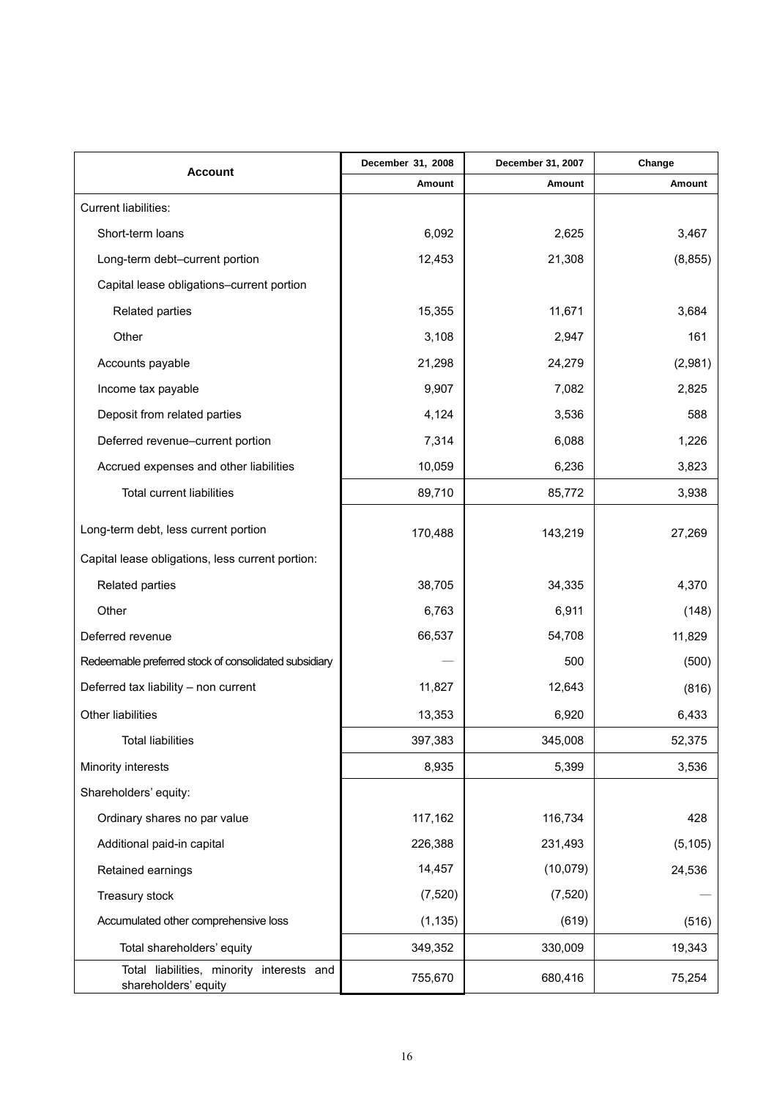| Account                                                           | December 31, 2008 | December 31, 2007 | Change   |
|-------------------------------------------------------------------|-------------------|-------------------|----------|
|                                                                   | Amount            | Amount            | Amount   |
| <b>Current liabilities:</b>                                       |                   |                   |          |
| Short-term loans                                                  | 6,092             | 2,625             | 3,467    |
| Long-term debt-current portion                                    | 12,453            | 21,308            | (8, 855) |
| Capital lease obligations-current portion                         |                   |                   |          |
| Related parties                                                   | 15,355            | 11,671            | 3,684    |
| Other                                                             | 3,108             | 2,947             | 161      |
| Accounts payable                                                  | 21,298            | 24,279            | (2,981)  |
| Income tax payable                                                | 9,907             | 7,082             | 2,825    |
| Deposit from related parties                                      | 4,124             | 3,536             | 588      |
| Deferred revenue-current portion                                  | 7,314             | 6,088             | 1,226    |
| Accrued expenses and other liabilities                            | 10,059            | 6,236             | 3,823    |
| <b>Total current liabilities</b>                                  | 89,710            | 85,772            | 3,938    |
| Long-term debt, less current portion                              | 170,488           | 143,219           | 27,269   |
| Capital lease obligations, less current portion:                  |                   |                   |          |
| Related parties                                                   | 38,705            | 34,335            | 4,370    |
| Other                                                             | 6,763             | 6,911             | (148)    |
| Deferred revenue                                                  | 66,537            | 54,708            | 11,829   |
| Redeemable preferred stock of consolidated subsidiary             |                   | 500               | (500)    |
| Deferred tax liability - non current                              | 11,827            | 12,643            | (816)    |
| Other liabilities                                                 | 13,353            | 6,920             | 6,433    |
| <b>Total liabilities</b>                                          | 397,383           | 345,008           | 52,375   |
| Minority interests                                                | 8,935             | 5,399             | 3,536    |
| Shareholders' equity:                                             |                   |                   |          |
| Ordinary shares no par value                                      | 117,162           | 116,734           | 428      |
| Additional paid-in capital                                        | 226,388           | 231,493           | (5, 105) |
| Retained earnings                                                 | 14,457            | (10,079)          | 24,536   |
| Treasury stock                                                    | (7, 520)          | (7, 520)          |          |
| Accumulated other comprehensive loss                              | (1, 135)          | (619)             | (516)    |
| Total shareholders' equity                                        | 349,352           | 330,009           | 19,343   |
| Total liabilities, minority interests and<br>shareholders' equity | 755,670           | 680,416           | 75,254   |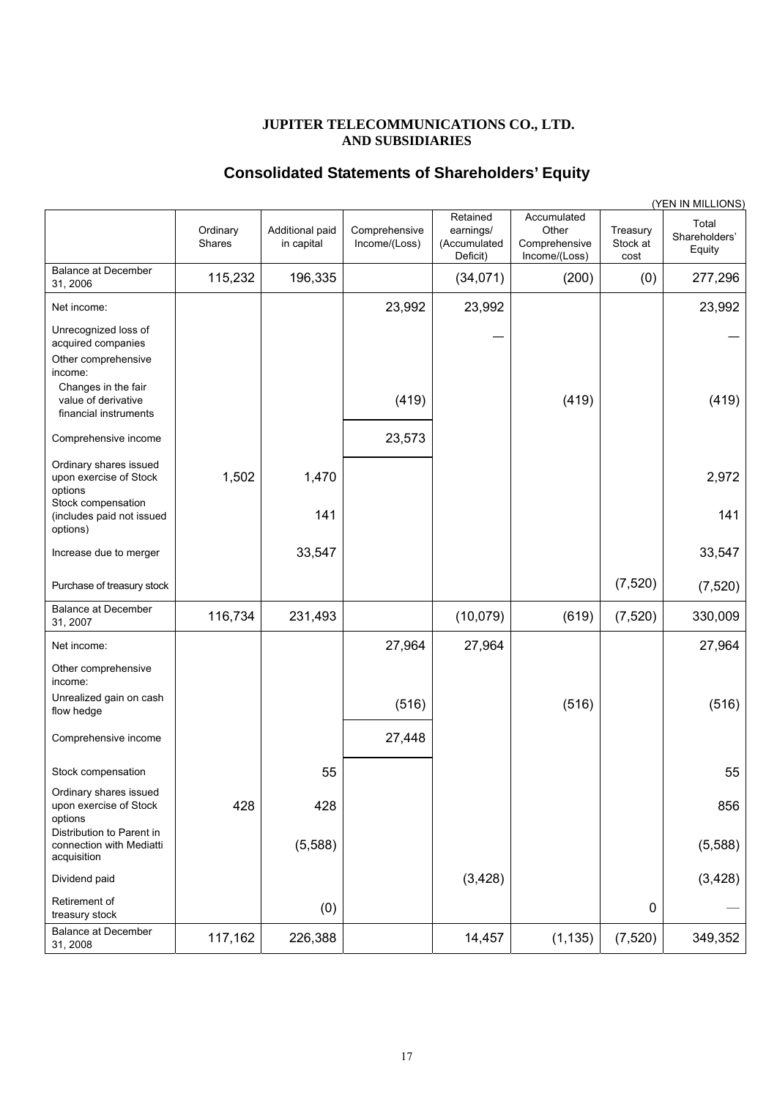#### **JUPITER TELECOMMUNICATIONS CO., LTD. AND SUBSIDIARIES**

### **Consolidated Statements of Shareholders' Equity**

|                                                                                |                    |                               |                                |                                                   |                                                        |                              | (YEN IN MILLIONS)                |
|--------------------------------------------------------------------------------|--------------------|-------------------------------|--------------------------------|---------------------------------------------------|--------------------------------------------------------|------------------------------|----------------------------------|
|                                                                                | Ordinary<br>Shares | Additional paid<br>in capital | Comprehensive<br>Income/(Loss) | Retained<br>earnings/<br>(Accumulated<br>Deficit) | Accumulated<br>Other<br>Comprehensive<br>Income/(Loss) | Treasury<br>Stock at<br>cost | Total<br>Shareholders'<br>Equity |
| <b>Balance at December</b><br>31, 2006                                         | 115,232            | 196,335                       |                                | (34,071)                                          | (200)                                                  | (0)                          | 277,296                          |
| Net income:                                                                    |                    |                               | 23,992                         | 23,992                                            |                                                        |                              | 23,992                           |
| Unrecognized loss of<br>acquired companies<br>Other comprehensive              |                    |                               |                                |                                                   |                                                        |                              |                                  |
| income:<br>Changes in the fair<br>value of derivative<br>financial instruments |                    |                               | (419)                          |                                                   | (419)                                                  |                              | (419)                            |
| Comprehensive income                                                           |                    |                               | 23,573                         |                                                   |                                                        |                              |                                  |
| Ordinary shares issued<br>upon exercise of Stock<br>options                    | 1,502              | 1,470                         |                                |                                                   |                                                        |                              | 2,972                            |
| Stock compensation<br>(includes paid not issued<br>options)                    |                    | 141                           |                                |                                                   |                                                        |                              | 141                              |
| Increase due to merger                                                         |                    | 33,547                        |                                |                                                   |                                                        |                              | 33,547                           |
| Purchase of treasury stock                                                     |                    |                               |                                |                                                   |                                                        | (7, 520)                     | (7, 520)                         |
| <b>Balance at December</b><br>31, 2007                                         | 116,734            | 231,493                       |                                | (10,079)                                          | (619)                                                  | (7, 520)                     | 330,009                          |
| Net income:                                                                    |                    |                               | 27,964                         | 27,964                                            |                                                        |                              | 27,964                           |
| Other comprehensive<br>income:                                                 |                    |                               |                                |                                                   |                                                        |                              |                                  |
| Unrealized gain on cash<br>flow hedge                                          |                    |                               | (516)                          |                                                   | (516)                                                  |                              | (516)                            |
| Comprehensive income                                                           |                    |                               | 27,448                         |                                                   |                                                        |                              |                                  |
| Stock compensation                                                             |                    | 55                            |                                |                                                   |                                                        |                              | 55                               |
| Ordinary shares issued<br>upon exercise of Stock<br>options                    | 428                | 428                           |                                |                                                   |                                                        |                              | 856                              |
| Distribution to Parent in<br>connection with Mediatti<br>acquisition           |                    | (5,588)                       |                                |                                                   |                                                        |                              | (5,588)                          |
| Dividend paid                                                                  |                    |                               |                                | (3, 428)                                          |                                                        |                              | (3, 428)                         |
| Retirement of<br>treasury stock                                                |                    | (0)                           |                                |                                                   |                                                        | 0                            |                                  |
| <b>Balance at December</b><br>31, 2008                                         | 117,162            | 226,388                       |                                | 14,457                                            | (1, 135)                                               | (7, 520)                     | 349,352                          |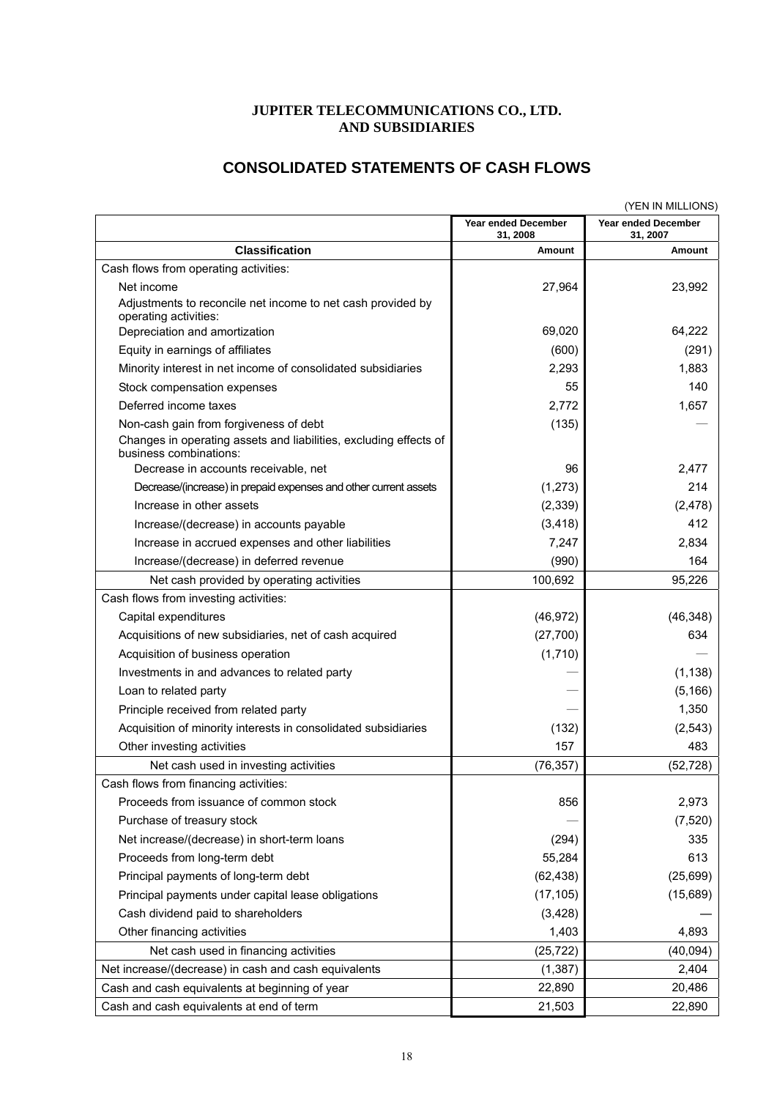# **JUPITER TELECOMMUNICATIONS CO., LTD. AND SUBSIDIARIES**

# **CONSOLIDATED STATEMENTS OF CASH FLOWS**

|                                                                                             | (YEN IN MILLIONS)               |                                        |  |
|---------------------------------------------------------------------------------------------|---------------------------------|----------------------------------------|--|
|                                                                                             | Year ended December<br>31, 2008 | <b>Year ended December</b><br>31, 2007 |  |
| <b>Classification</b>                                                                       | Amount                          | Amount                                 |  |
| Cash flows from operating activities:                                                       |                                 |                                        |  |
| Net income                                                                                  | 27,964                          | 23,992                                 |  |
| Adjustments to reconcile net income to net cash provided by<br>operating activities:        |                                 |                                        |  |
| Depreciation and amortization                                                               | 69,020                          | 64,222                                 |  |
| Equity in earnings of affiliates                                                            | (600)                           | (291)                                  |  |
| Minority interest in net income of consolidated subsidiaries                                | 2,293                           | 1,883                                  |  |
| Stock compensation expenses                                                                 | 55                              | 140                                    |  |
| Deferred income taxes                                                                       | 2,772                           | 1,657                                  |  |
| Non-cash gain from forgiveness of debt                                                      | (135)                           |                                        |  |
| Changes in operating assets and liabilities, excluding effects of<br>business combinations: |                                 |                                        |  |
| Decrease in accounts receivable, net                                                        | 96                              | 2,477                                  |  |
| Decrease/(increase) in prepaid expenses and other current assets                            | (1, 273)                        | 214                                    |  |
| Increase in other assets                                                                    | (2, 339)                        | (2, 478)                               |  |
| Increase/(decrease) in accounts payable                                                     | (3, 418)                        | 412                                    |  |
| Increase in accrued expenses and other liabilities                                          | 7,247                           | 2,834                                  |  |
| Increase/(decrease) in deferred revenue                                                     | (990)                           | 164                                    |  |
| Net cash provided by operating activities                                                   | 100,692                         | 95,226                                 |  |
| Cash flows from investing activities:                                                       |                                 |                                        |  |
| Capital expenditures                                                                        | (46, 972)                       | (46, 348)                              |  |
| Acquisitions of new subsidiaries, net of cash acquired                                      | (27,700)                        | 634                                    |  |
| Acquisition of business operation                                                           | (1,710)                         |                                        |  |
| Investments in and advances to related party                                                |                                 | (1, 138)                               |  |
| Loan to related party                                                                       |                                 | (5, 166)                               |  |
| Principle received from related party                                                       |                                 | 1,350                                  |  |
| Acquisition of minority interests in consolidated subsidiaries                              | (132)                           | (2, 543)                               |  |
| Other investing activities                                                                  | 157                             | 483                                    |  |
| Net cash used in investing activities                                                       | (76, 357)                       | (52, 728)                              |  |
| Cash flows from financing activities:                                                       |                                 |                                        |  |
| Proceeds from issuance of common stock                                                      | 856                             | 2,973                                  |  |
| Purchase of treasury stock                                                                  |                                 | (7, 520)                               |  |
| Net increase/(decrease) in short-term loans                                                 | (294)                           | 335                                    |  |
| Proceeds from long-term debt                                                                | 55,284                          | 613                                    |  |
| Principal payments of long-term debt                                                        | (62, 438)                       | (25, 699)                              |  |
| Principal payments under capital lease obligations                                          | (17, 105)                       | (15,689)                               |  |
| Cash dividend paid to shareholders                                                          | (3, 428)                        |                                        |  |
| Other financing activities                                                                  | 1,403                           | 4,893                                  |  |
| Net cash used in financing activities                                                       | (25, 722)                       | (40, 094)                              |  |
| Net increase/(decrease) in cash and cash equivalents                                        | (1, 387)                        | 2,404                                  |  |
| Cash and cash equivalents at beginning of year                                              | 22,890                          | 20,486                                 |  |
| Cash and cash equivalents at end of term                                                    | 21,503                          | 22,890                                 |  |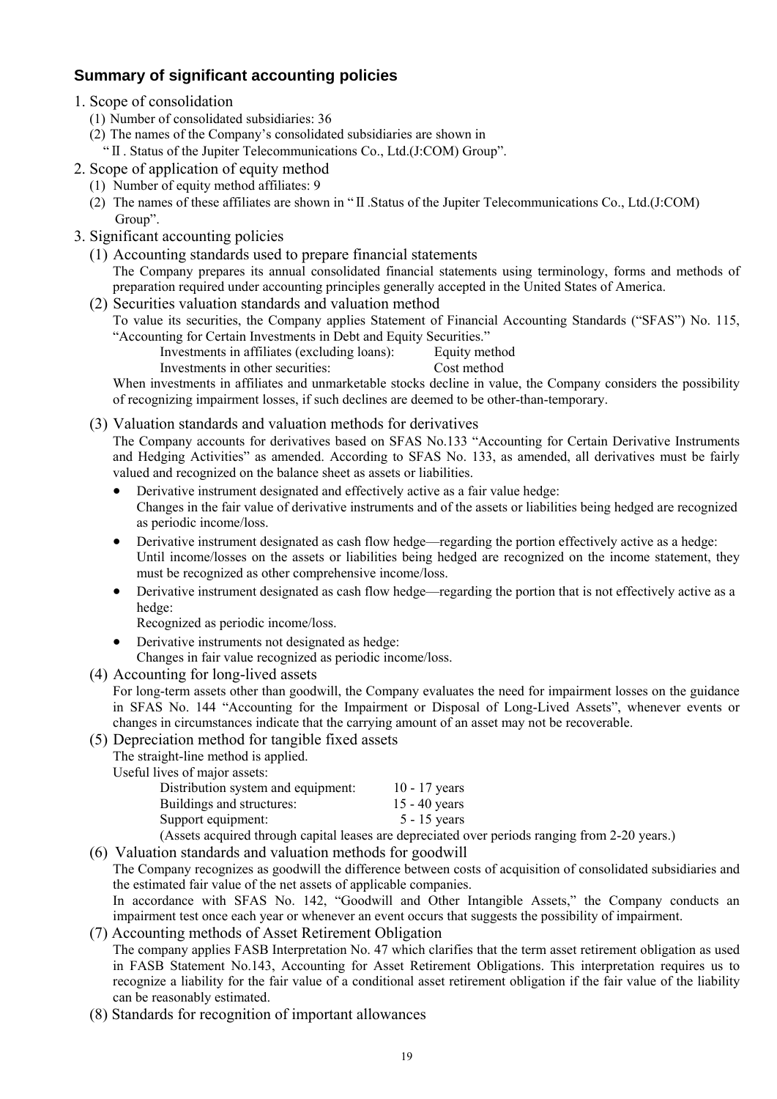# **Summary of significant accounting policies**

- 1. Scope of consolidation
	- (1) Number of consolidated subsidiaries: 36
	- (2) The names of the Company's consolidated subsidiaries are shown in
		- "Ⅱ. Status of the Jupiter Telecommunications Co., Ltd.(J:COM) Group".
- 2. Scope of application of equity method
	- (1) Number of equity method affiliates: 9
	- (2) The names of these affiliates are shown in "Ⅱ.Status of the Jupiter Telecommunications Co., Ltd.(J:COM) Group".
- 3. Significant accounting policies
	- (1) Accounting standards used to prepare financial statements The Company prepares its annual consolidated financial statements using terminology, forms and methods of preparation required under accounting principles generally accepted in the United States of America.
	- (2) Securities valuation standards and valuation method To value its securities, the Company applies Statement of Financial Accounting Standards ("SFAS") No. 115, "Accounting for Certain Investments in Debt and Equity Securities."
		- Investments in affiliates (excluding loans): Equity method

Investments in other securities: Cost method

When investments in affiliates and unmarketable stocks decline in value, the Company considers the possibility of recognizing impairment losses, if such declines are deemed to be other-than-temporary.

(3) Valuation standards and valuation methods for derivatives

The Company accounts for derivatives based on SFAS No.133 "Accounting for Certain Derivative Instruments and Hedging Activities" as amended. According to SFAS No. 133, as amended, all derivatives must be fairly valued and recognized on the balance sheet as assets or liabilities.

- Derivative instrument designated and effectively active as a fair value hedge: Changes in the fair value of derivative instruments and of the assets or liabilities being hedged are recognized as periodic income/loss.
- Derivative instrument designated as cash flow hedge—regarding the portion effectively active as a hedge: Until income/losses on the assets or liabilities being hedged are recognized on the income statement, they must be recognized as other comprehensive income/loss.
- Derivative instrument designated as cash flow hedge—regarding the portion that is not effectively active as a hedge:

Recognized as periodic income/loss.

- Derivative instruments not designated as hedge:
- Changes in fair value recognized as periodic income/loss.
- (4) Accounting for long-lived assets

For long-term assets other than goodwill, the Company evaluates the need for impairment losses on the guidance in SFAS No. 144 "Accounting for the Impairment or Disposal of Long-Lived Assets", whenever events or changes in circumstances indicate that the carrying amount of an asset may not be recoverable.

(5) Depreciation method for tangible fixed assets

The straight-line method is applied.

Useful lives of major assets:

| Distribution system and equipment: | $10 - 17$ years |
|------------------------------------|-----------------|
| Buildings and structures:          | $15 - 40$ years |
| Support equipment:                 | $5 - 15$ years  |
|                                    |                 |

(Assets acquired through capital leases are depreciated over periods ranging from 2-20 years.)

(6) Valuation standards and valuation methods for goodwill

The Company recognizes as goodwill the difference between costs of acquisition of consolidated subsidiaries and the estimated fair value of the net assets of applicable companies.

In accordance with SFAS No. 142, "Goodwill and Other Intangible Assets," the Company conducts an impairment test once each year or whenever an event occurs that suggests the possibility of impairment.

# (7) Accounting methods of Asset Retirement Obligation The company applies FASB Interpretation No. 47 which clarifies that the term asset retirement obligation as used

in FASB Statement No.143, Accounting for Asset Retirement Obligations. This interpretation requires us to recognize a liability for the fair value of a conditional asset retirement obligation if the fair value of the liability can be reasonably estimated.

(8) Standards for recognition of important allowances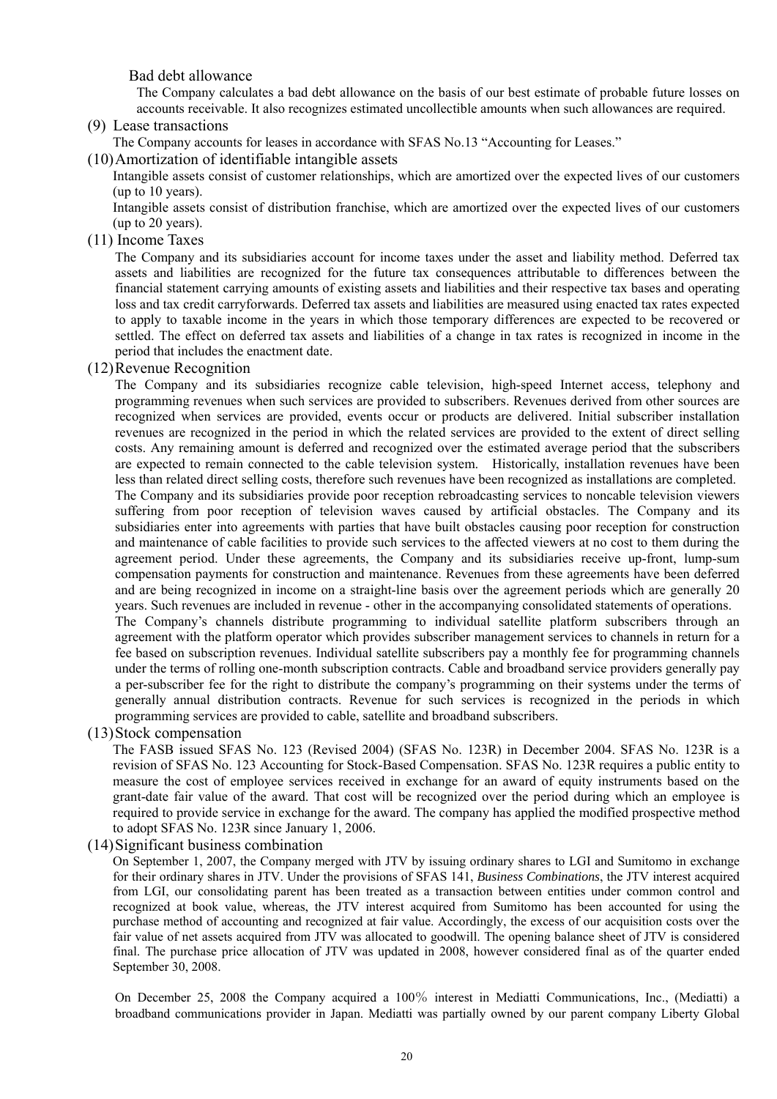Bad debt allowance

The Company calculates a bad debt allowance on the basis of our best estimate of probable future losses on accounts receivable. It also recognizes estimated uncollectible amounts when such allowances are required.

(9) Lease transactions

The Company accounts for leases in accordance with SFAS No.13 "Accounting for Leases."

(10) Amortization of identifiable intangible assets

Intangible assets consist of customer relationships, which are amortized over the expected lives of our customers (up to 10 years).

Intangible assets consist of distribution franchise, which are amortized over the expected lives of our customers (up to 20 years).

(11) Income Taxes

The Company and its subsidiaries account for income taxes under the asset and liability method. Deferred tax assets and liabilities are recognized for the future tax consequences attributable to differences between the financial statement carrying amounts of existing assets and liabilities and their respective tax bases and operating loss and tax credit carryforwards. Deferred tax assets and liabilities are measured using enacted tax rates expected to apply to taxable income in the years in which those temporary differences are expected to be recovered or settled. The effect on deferred tax assets and liabilities of a change in tax rates is recognized in income in the period that includes the enactment date.

#### (12) Revenue Recognition

The Company and its subsidiaries recognize cable television, high-speed Internet access, telephony and programming revenues when such services are provided to subscribers. Revenues derived from other sources are recognized when services are provided, events occur or products are delivered. Initial subscriber installation revenues are recognized in the period in which the related services are provided to the extent of direct selling costs. Any remaining amount is deferred and recognized over the estimated average period that the subscribers are expected to remain connected to the cable television system. Historically, installation revenues have been less than related direct selling costs, therefore such revenues have been recognized as installations are completed. The Company and its subsidiaries provide poor reception rebroadcasting services to noncable television viewers suffering from poor reception of television waves caused by artificial obstacles. The Company and its subsidiaries enter into agreements with parties that have built obstacles causing poor reception for construction and maintenance of cable facilities to provide such services to the affected viewers at no cost to them during the agreement period. Under these agreements, the Company and its subsidiaries receive up-front, lump-sum compensation payments for construction and maintenance. Revenues from these agreements have been deferred and are being recognized in income on a straight-line basis over the agreement periods which are generally 20 years. Such revenues are included in revenue - other in the accompanying consolidated statements of operations.

The Company's channels distribute programming to individual satellite platform subscribers through an agreement with the platform operator which provides subscriber management services to channels in return for a fee based on subscription revenues. Individual satellite subscribers pay a monthly fee for programming channels under the terms of rolling one-month subscription contracts. Cable and broadband service providers generally pay a per-subscriber fee for the right to distribute the company's programming on their systems under the terms of generally annual distribution contracts. Revenue for such services is recognized in the periods in which programming services are provided to cable, satellite and broadband subscribers.

(13) Stock compensation

The FASB issued SFAS No. 123 (Revised 2004) (SFAS No. 123R) in December 2004. SFAS No. 123R is a revision of SFAS No. 123 Accounting for Stock-Based Compensation. SFAS No. 123R requires a public entity to measure the cost of employee services received in exchange for an award of equity instruments based on the grant-date fair value of the award. That cost will be recognized over the period during which an employee is required to provide service in exchange for the award. The company has applied the modified prospective method to adopt SFAS No. 123R since January 1, 2006.

#### (14) Significant business combination

On September 1, 2007, the Company merged with JTV by issuing ordinary shares to LGI and Sumitomo in exchange for their ordinary shares in JTV. Under the provisions of SFAS 141, *Business Combinations*, the JTV interest acquired from LGI, our consolidating parent has been treated as a transaction between entities under common control and recognized at book value, whereas, the JTV interest acquired from Sumitomo has been accounted for using the purchase method of accounting and recognized at fair value. Accordingly, the excess of our acquisition costs over the fair value of net assets acquired from JTV was allocated to goodwill. The opening balance sheet of JTV is considered final. The purchase price allocation of JTV was updated in 2008, however considered final as of the quarter ended September 30, 2008.

On December 25, 2008 the Company acquired a 100% interest in Mediatti Communications, Inc., (Mediatti) a broadband communications provider in Japan. Mediatti was partially owned by our parent company Liberty Global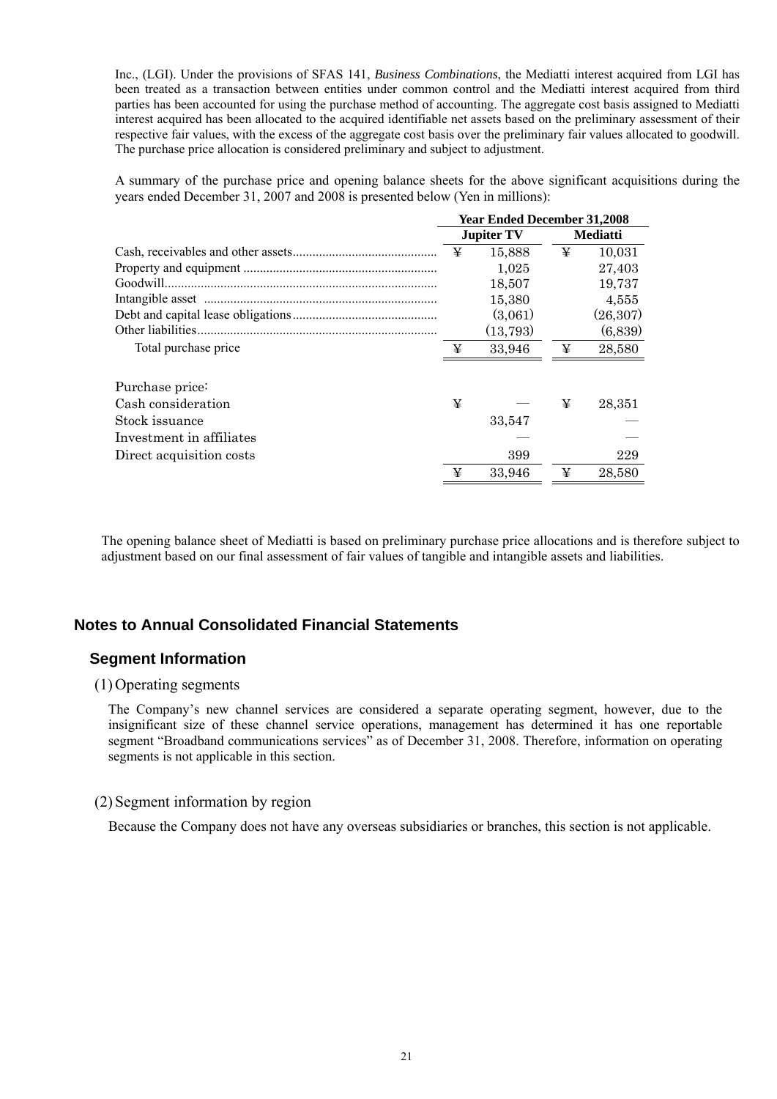Inc., (LGI). Under the provisions of SFAS 141, *Business Combinations*, the Mediatti interest acquired from LGI has been treated as a transaction between entities under common control and the Mediatti interest acquired from third parties has been accounted for using the purchase method of accounting. The aggregate cost basis assigned to Mediatti interest acquired has been allocated to the acquired identifiable net assets based on the preliminary assessment of their respective fair values, with the excess of the aggregate cost basis over the preliminary fair values allocated to goodwill. The purchase price allocation is considered preliminary and subject to adjustment.

A summary of the purchase price and opening balance sheets for the above significant acquisitions during the years ended December 31, 2007 and 2008 is presented below (Yen in millions):

|                          | <b>Year Ended December 31,2008</b> |                   |   |                 |
|--------------------------|------------------------------------|-------------------|---|-----------------|
|                          |                                    | <b>Jupiter TV</b> |   | <b>Mediatti</b> |
|                          | ¥                                  | 15,888            | ¥ | 10.031          |
|                          |                                    | 1,025             |   | 27,403          |
|                          |                                    | 18,507            |   | 19,737          |
|                          |                                    | 15,380            |   | 4,555           |
|                          |                                    | (3,061)           |   | (26, 307)       |
|                          |                                    | (13,793)          |   | (6,839)         |
| Total purchase price     | ¥                                  | 33,946            | ¥ | 28,580          |
| Purchase price:          |                                    |                   |   |                 |
| Cash consideration       | ¥                                  |                   | ¥ | 28,351          |
| Stock issuance           |                                    | 33,547            |   |                 |
| Investment in affiliates |                                    |                   |   |                 |
| Direct acquisition costs |                                    | 399               |   | 229             |
|                          | ¥                                  | 33,946            | ¥ | 28,580          |

The opening balance sheet of Mediatti is based on preliminary purchase price allocations and is therefore subject to adjustment based on our final assessment of fair values of tangible and intangible assets and liabilities.

# **Notes to Annual Consolidated Financial Statements**

# **Segment Information**

# (1) Operating segments

The Company's new channel services are considered a separate operating segment, however, due to the insignificant size of these channel service operations, management has determined it has one reportable segment "Broadband communications services" as of December 31, 2008. Therefore, information on operating segments is not applicable in this section.

#### (2) Segment information by region

Because the Company does not have any overseas subsidiaries or branches, this section is not applicable.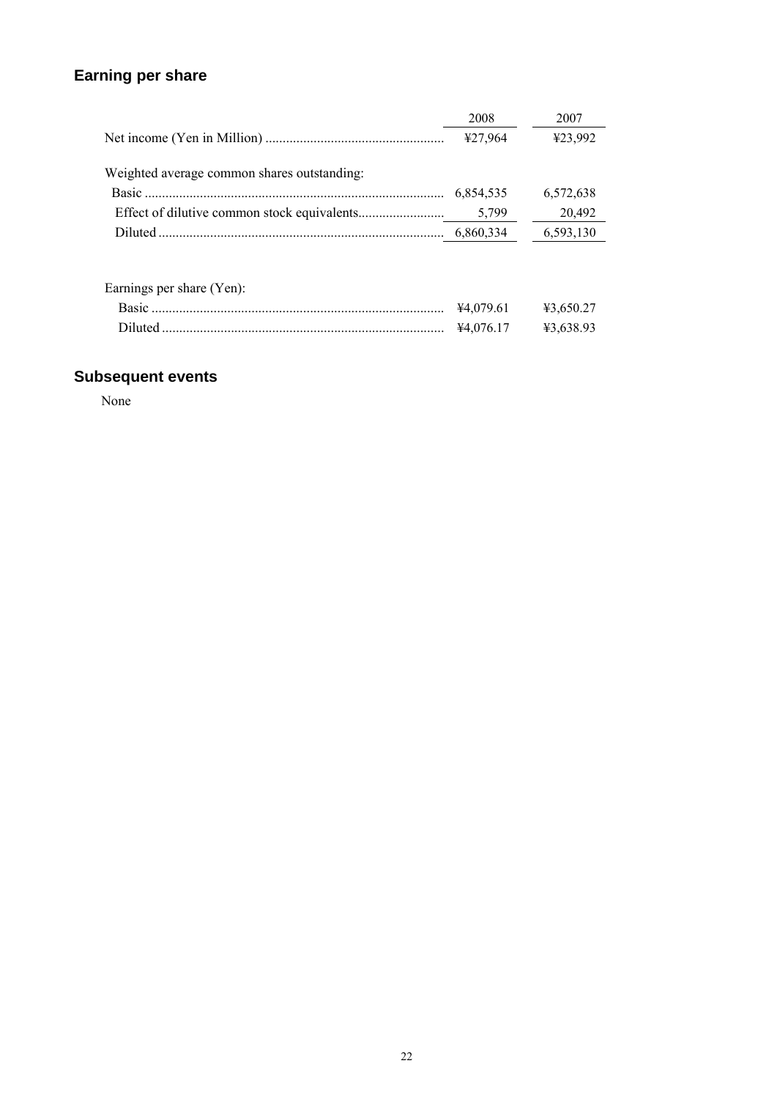# **Earning per share**

|                                             | 2008      | 2007      |
|---------------------------------------------|-----------|-----------|
|                                             | ¥27,964   | ¥23,992   |
| Weighted average common shares outstanding: |           |           |
|                                             | 6,854,535 | 6,572,638 |
|                                             | 5,799     | 20,492    |
|                                             |           | 6,593,130 |
|                                             |           |           |
|                                             |           |           |

| Earnings per share (Yen): |                                         |  |
|---------------------------|-----------------------------------------|--|
|                           | $\text{\#4.079.61}$ $\text{\#3.650.27}$ |  |
|                           | ¥4.076.17 ¥3.638.93                     |  |

# **Subsequent events**

None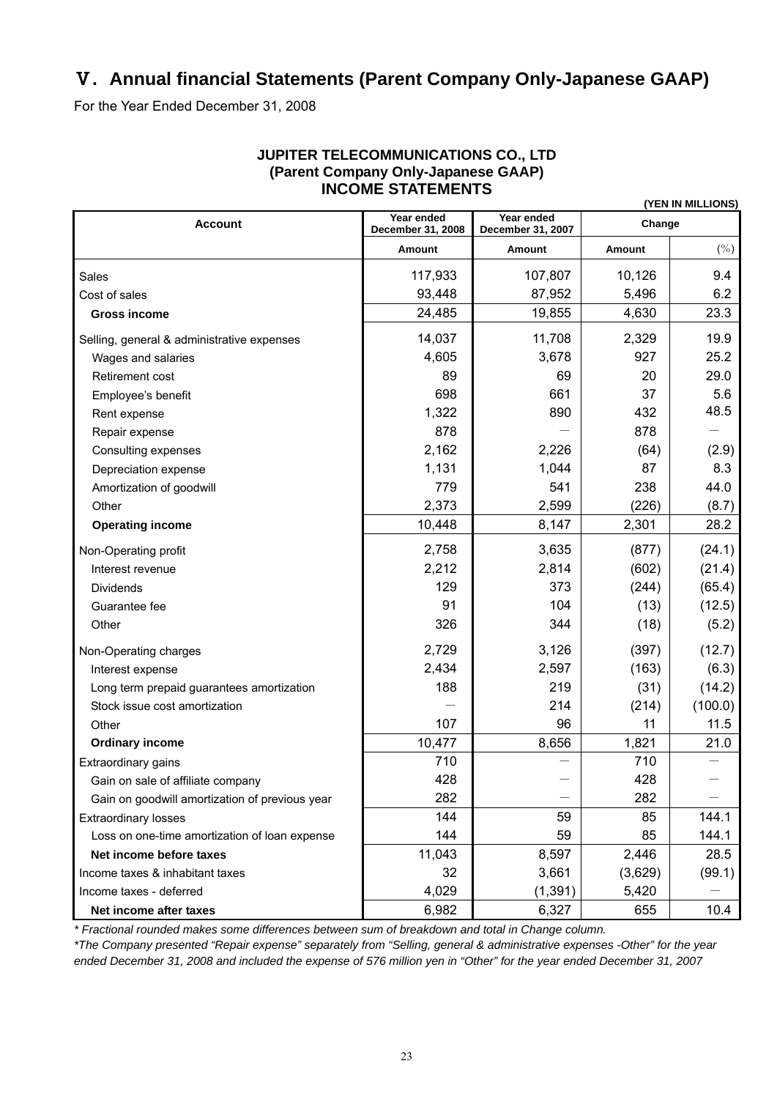# Ⅴ**. Annual financial Statements (Parent Company Only-Japanese GAAP)**

For the Year Ended December 31, 2008

| (YEN IN MILLIONS)                              |                                 |                                 |         |         |  |  |
|------------------------------------------------|---------------------------------|---------------------------------|---------|---------|--|--|
| <b>Account</b>                                 | Year ended<br>December 31, 2008 | Year ended<br>December 31, 2007 | Change  |         |  |  |
|                                                | Amount                          | Amount                          | Amount  | $(\% )$ |  |  |
| Sales                                          | 117,933                         | 107,807                         | 10,126  | 9.4     |  |  |
| Cost of sales                                  | 93,448                          | 87,952                          | 5,496   | 6.2     |  |  |
| <b>Gross income</b>                            | 24,485                          | 19,855                          | 4,630   | 23.3    |  |  |
| Selling, general & administrative expenses     | 14,037                          | 11,708                          | 2,329   | 19.9    |  |  |
| Wages and salaries                             | 4,605                           | 3,678                           | 927     | 25.2    |  |  |
| Retirement cost                                | 89                              | 69                              | 20      | 29.0    |  |  |
| Employee's benefit                             | 698                             | 661                             | 37      | 5.6     |  |  |
| Rent expense                                   | 1,322                           | 890                             | 432     | 48.5    |  |  |
| Repair expense                                 | 878                             |                                 | 878     |         |  |  |
| Consulting expenses                            | 2,162                           | 2,226                           | (64)    | (2.9)   |  |  |
| Depreciation expense                           | 1,131                           | 1,044                           | 87      | 8.3     |  |  |
| Amortization of goodwill                       | 779                             | 541                             | 238     | 44.0    |  |  |
| Other                                          | 2,373                           | 2,599                           | (226)   | (8.7)   |  |  |
| <b>Operating income</b>                        | 10,448                          | 8,147                           | 2,301   | 28.2    |  |  |
| Non-Operating profit                           | 2,758                           | 3,635                           | (877)   | (24.1)  |  |  |
| Interest revenue                               | 2,212                           | 2,814                           | (602)   | (21.4)  |  |  |
| <b>Dividends</b>                               | 129                             | 373                             | (244)   | (65.4)  |  |  |
| Guarantee fee                                  | 91                              | 104                             | (13)    | (12.5)  |  |  |
| Other                                          | 326                             | 344                             | (18)    | (5.2)   |  |  |
| Non-Operating charges                          | 2,729                           | 3,126                           | (397)   | (12.7)  |  |  |
| Interest expense                               | 2,434                           | 2,597                           | (163)   | (6.3)   |  |  |
| Long term prepaid guarantees amortization      | 188                             | 219                             | (31)    | (14.2)  |  |  |
| Stock issue cost amortization                  |                                 | 214                             | (214)   | (100.0) |  |  |
| Other                                          | 107                             | 96                              | 11      | 11.5    |  |  |
| <b>Ordinary income</b>                         | 10,477                          | 8,656                           | 1,821   | 21.0    |  |  |
| Extraordinary gains                            | 710                             |                                 | 710     |         |  |  |
| Gain on sale of affiliate company              | 428                             |                                 | 428     |         |  |  |
| Gain on goodwill amortization of previous year | 282                             |                                 | 282     |         |  |  |
| <b>Extraordinary losses</b>                    | 144                             | 59                              | 85      | 144.1   |  |  |
| Loss on one-time amortization of loan expense  | 144                             | 59                              | 85      | 144.1   |  |  |
| Net income before taxes                        | 11,043                          | 8,597                           | 2,446   | 28.5    |  |  |
| Income taxes & inhabitant taxes                | 32                              | 3,661                           | (3,629) | (99.1)  |  |  |
| Income taxes - deferred                        | 4,029                           | (1, 391)                        | 5,420   |         |  |  |
| Net income after taxes                         | 6,982                           | 6,327                           | 655     | 10.4    |  |  |

# **JUPITER TELECOMMUNICATIONS CO., LTD (Parent Company Only-Japanese GAAP) INCOME STATEMENTS**

*\* Fractional rounded makes some differences between sum of breakdown and total in Change column.* 

*\*The Company presented "Repair expense" separately from "Selling, general & administrative expenses -Other" for the year ended December 31, 2008 and included the expense of 576 million yen in "Other" for the year ended December 31, 2007*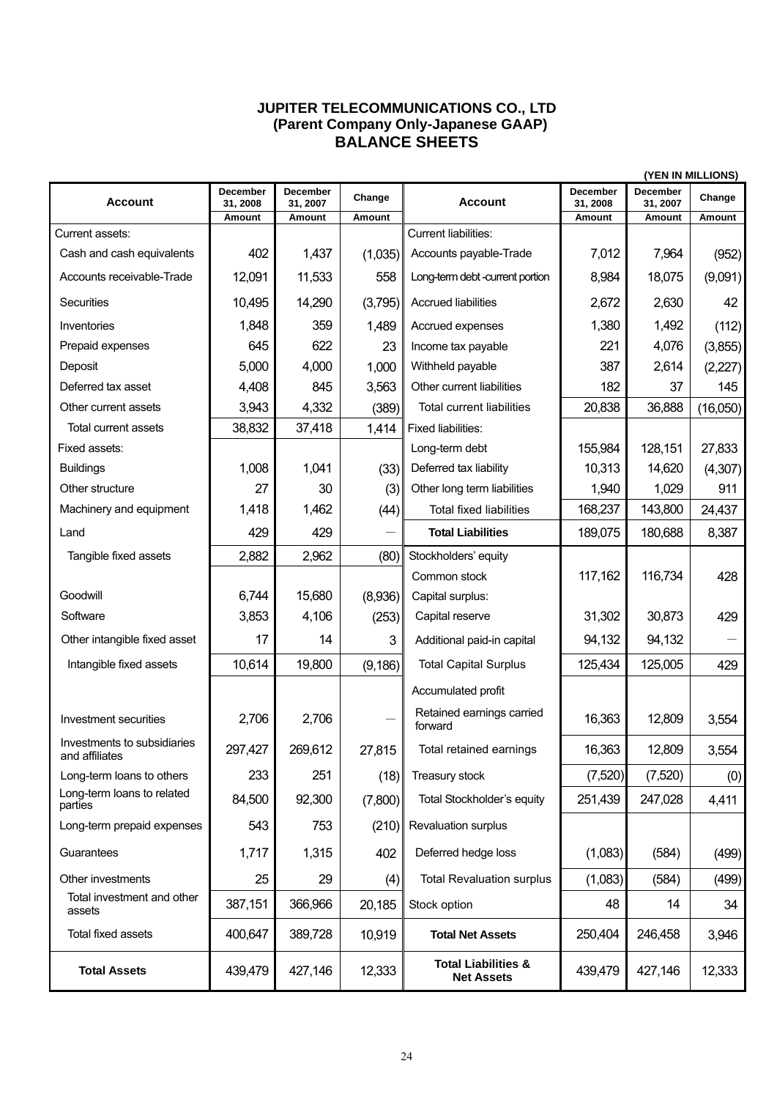# **JUPITER TELECOMMUNICATIONS CO., LTD (Parent Company Only-Japanese GAAP) BALANCE SHEETS**

|                                               |                             |                      |          |                                                     |                      |                      | (YEN IN MILLIONS) |
|-----------------------------------------------|-----------------------------|----------------------|----------|-----------------------------------------------------|----------------------|----------------------|-------------------|
| <b>Account</b>                                | <b>December</b><br>31, 2008 | December<br>31, 2007 | Change   | <b>Account</b>                                      | December<br>31, 2008 | December<br>31, 2007 | Change            |
|                                               | Amount                      | Amount               | Amount   |                                                     | Amount               | Amount               | Amount            |
| Current assets:                               |                             |                      |          | Current liabilities:                                |                      |                      |                   |
| Cash and cash equivalents                     | 402                         | 1,437                | (1,035)  | Accounts payable-Trade                              | 7,012                | 7,964                | (952)             |
| Accounts receivable-Trade                     | 12,091                      | 11,533               | 558      | Long-term debt -current portion                     | 8,984                | 18,075               | (9,091)           |
| Securities                                    | 10,495                      | 14,290               | (3,795)  | <b>Accrued liabilities</b>                          | 2,672                | 2,630                | 42                |
| Inventories                                   | 1,848                       | 359                  | 1,489    | Accrued expenses                                    | 1,380                | 1,492                | (112)             |
| Prepaid expenses                              | 645                         | 622                  | 23       | Income tax payable                                  | 221                  | 4,076                | (3,855)           |
| Deposit                                       | 5,000                       | 4,000                | 1,000    | Withheld payable                                    | 387                  | 2,614                | (2,227)           |
| Deferred tax asset                            | 4,408                       | 845                  | 3,563    | Other current liabilities                           | 182                  | 37                   | 145               |
| Other current assets                          | 3,943                       | 4,332                | (389)    | <b>Total current liabilities</b>                    | 20,838               | 36,888               | (16,050)          |
| Total current assets                          | 38,832                      | 37,418               | 1,414    | Fixed liabilities:                                  |                      |                      |                   |
| Fixed assets:                                 |                             |                      |          | Long-term debt                                      | 155,984              | 128,151              | 27,833            |
| <b>Buildings</b>                              | 1,008                       | 1,041                | (33)     | Deferred tax liability                              | 10,313               | 14,620               | (4,307)           |
| Other structure                               | 27                          | 30                   | (3)      | Other long term liabilities                         | 1,940                | 1,029                | 911               |
| Machinery and equipment                       | 1,418                       | 1,462                | (44)     | <b>Total fixed liabilities</b>                      | 168,237              | 143,800              | 24,437            |
| Land                                          | 429                         | 429                  |          | <b>Total Liabilities</b>                            | 189,075              | 180,688              | 8,387             |
| Tangible fixed assets                         | 2,882                       | 2,962                | (80)     | Stockholders' equity                                |                      |                      |                   |
|                                               |                             |                      |          | Common stock                                        | 117,162              | 116,734              | 428               |
| Goodwill                                      | 6,744                       | 15,680               | (8,936)  | Capital surplus:                                    |                      |                      |                   |
| Software                                      | 3,853                       | 4,106                | (253)    | Capital reserve                                     | 31,302               | 30,873               | 429               |
| Other intangible fixed asset                  | 17                          | 14                   | 3        | Additional paid-in capital                          | 94,132               | 94,132               |                   |
| Intangible fixed assets                       | 10,614                      | 19,800               | (9, 186) | <b>Total Capital Surplus</b>                        | 125,434              | 125,005              | 429               |
|                                               |                             |                      |          | Accumulated profit                                  |                      |                      |                   |
| Investment securities                         | 2,706                       | 2,706                |          | Retained earnings carried<br>forward                | 16,363               | 12,809               | 3,554             |
| Investments to subsidiaries<br>and attiliates | 297,427                     | 269,612              | 27,815   | Total retained earnings                             | 16,363               | 12,809               | 3,554             |
| Long-term loans to others                     | 233                         | 251                  | (18)     | Treasury stock                                      | (7,520)              | (7,520)              | (0)               |
| Long-term loans to related<br>parties         | 84,500                      | 92,300               | (7,800)  | Total Stockholder's equity                          | 251,439              | 247,028              | 4,411             |
| Long-term prepaid expenses                    | 543                         | 753                  | (210)    | Revaluation surplus                                 |                      |                      |                   |
| Guarantees                                    | 1,717                       | 1,315                | 402      | Deferred hedge loss                                 | (1,083)              | (584)                | (499)             |
| Other investments                             | 25                          | 29                   | (4)      | <b>Total Revaluation surplus</b>                    | (1,083)              | (584)                | (499)             |
| Total investment and other<br>assets          | 387,151                     | 366,966              | 20,185   | Stock option                                        | 48                   | 14                   | 34                |
| Total fixed assets                            | 400,647                     | 389,728              | 10,919   | <b>Total Net Assets</b>                             | 250,404              | 246,458              | 3,946             |
| <b>Total Assets</b>                           | 439,479                     | 427,146              | 12,333   | <b>Total Liabilities &amp;</b><br><b>Net Assets</b> | 439,479              | 427,146              | 12,333            |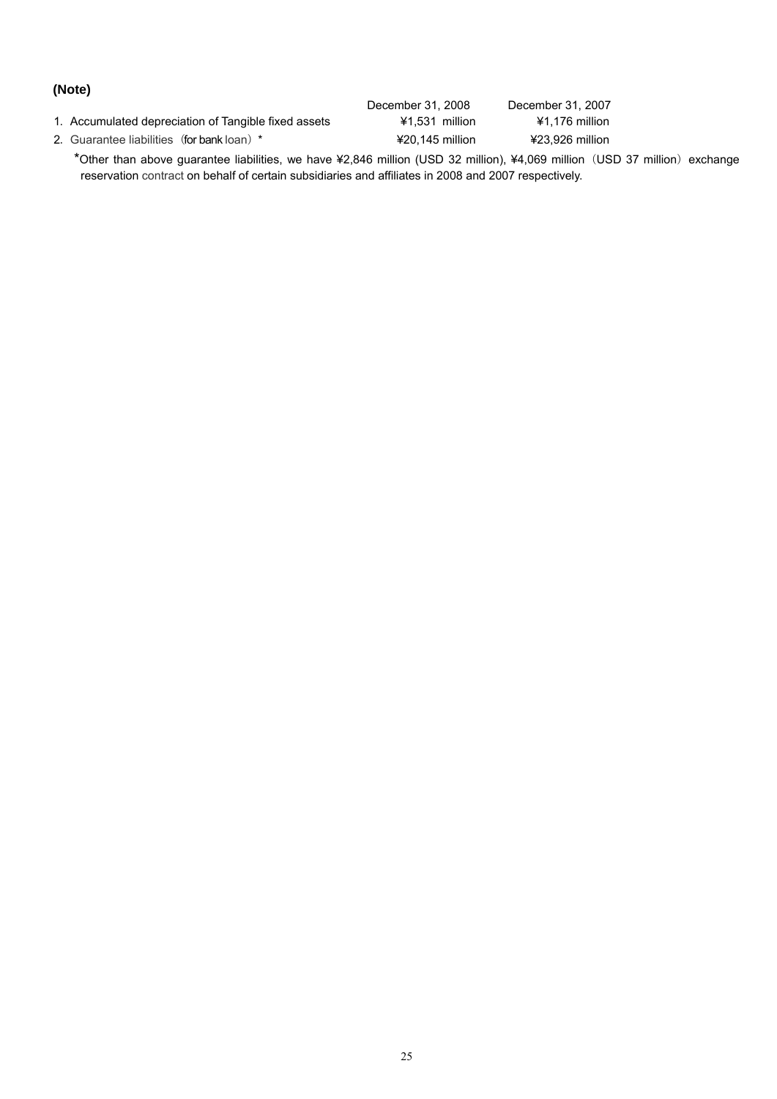# **(Note)**

|                                                      | December 31, 2008 | December 31, 2007 |
|------------------------------------------------------|-------------------|-------------------|
| 1. Accumulated depreciation of Tangible fixed assets | $41.531$ million  | $41.176$ million  |
| 2. Guarantee liabilities (for bank loan) *           | $420.145$ million | ¥23.926 million   |

\*Other than above guarantee liabilities, we have ¥2,846 million (USD 32 million), ¥4,069 million(USD 37 million)exchange reservation contract on behalf of certain subsidiaries and affiliates in 2008 and 2007 respectively.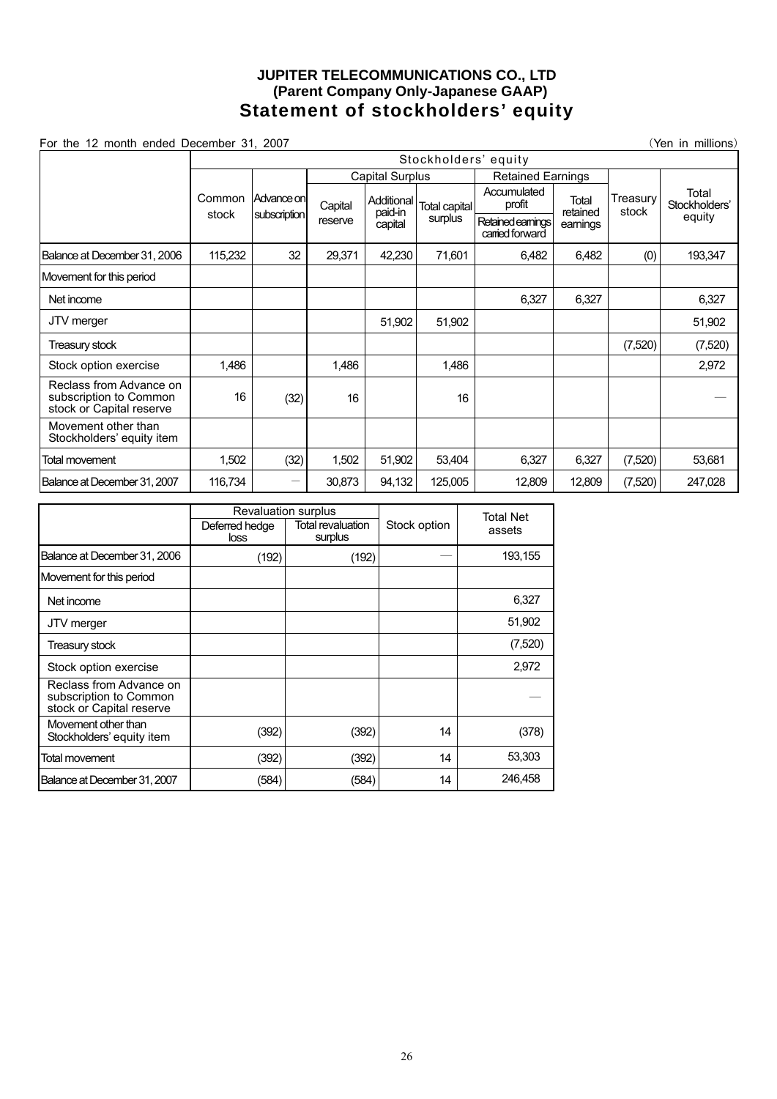# **JUPITER TELECOMMUNICATIONS CO., LTD (Parent Company Only-Japanese GAAP) Statement of stockholders' equity**

For the 12 month ended December 31, 2007 **(See For the 12 month ended December 31, 2007** (Yen in millions)

Stockholders' equity Capital Surplus Retained Earnings Accumulated Common Advance on Capital Additional Total capital Common Profit stock Advance on Advance on Capital<br>subscription recents reserve Additional paid-in capital surplus Retained earnings carried forward **Total** retained earnings **Treasury** stock Total Stockholders' equity Balance at December 31, 2006 | 115,232 | 32 | 29,371 | 42,230 | 71,601 | 6,482 | 6,482 | (0) | 193,347 Movement for this period Net income 6,327 | 6,327 | 6,327 JTV merger 51,902 | 51,902 | Treasury stock (7,520) (7,520) (7,520) Stock option exercise | 1.486 | 1.486 | 1.486 | 1.486 | 1.486 | 2.972 Reclass from Advance on subscription to Common stock or Capital reserve 16 (32) 16 | 16 | | | — Movement other than Stockholders' equity item Total movement 1,502 (32) 1,502 51,902 53,404 6,327 6,327 (7,520) 53,681 Balance at December 31, 2007 116,734 - 30,873 94,132 125,005 12,809 12,809 (7,520) 247,028

|                                                                               | Revaluation surplus    |                              |              | <b>Total Net</b> |
|-------------------------------------------------------------------------------|------------------------|------------------------------|--------------|------------------|
|                                                                               | Deferred hedge<br>loss | Total revaluation<br>surplus | Stock option | assets           |
| Balance at December 31, 2006                                                  | (192)                  | (192)                        |              | 193,155          |
| Movement for this period                                                      |                        |                              |              |                  |
| Net income                                                                    |                        |                              |              | 6,327            |
| JTV merger                                                                    |                        |                              |              | 51,902           |
| Treasury stock                                                                |                        |                              |              | (7,520)          |
| Stock option exercise                                                         |                        |                              |              | 2,972            |
| Reclass from Advance on<br>subscription to Common<br>stock or Capital reserve |                        |                              |              |                  |
| Movement other than<br>Stockholders' equity item                              | (392)                  | (392)                        | 14           | (378)            |
| Total movement                                                                | (392)                  | (392)                        | 14           | 53,303           |
| Balance at December 31, 2007                                                  | (584)                  | (584)                        | 14           | 246,458          |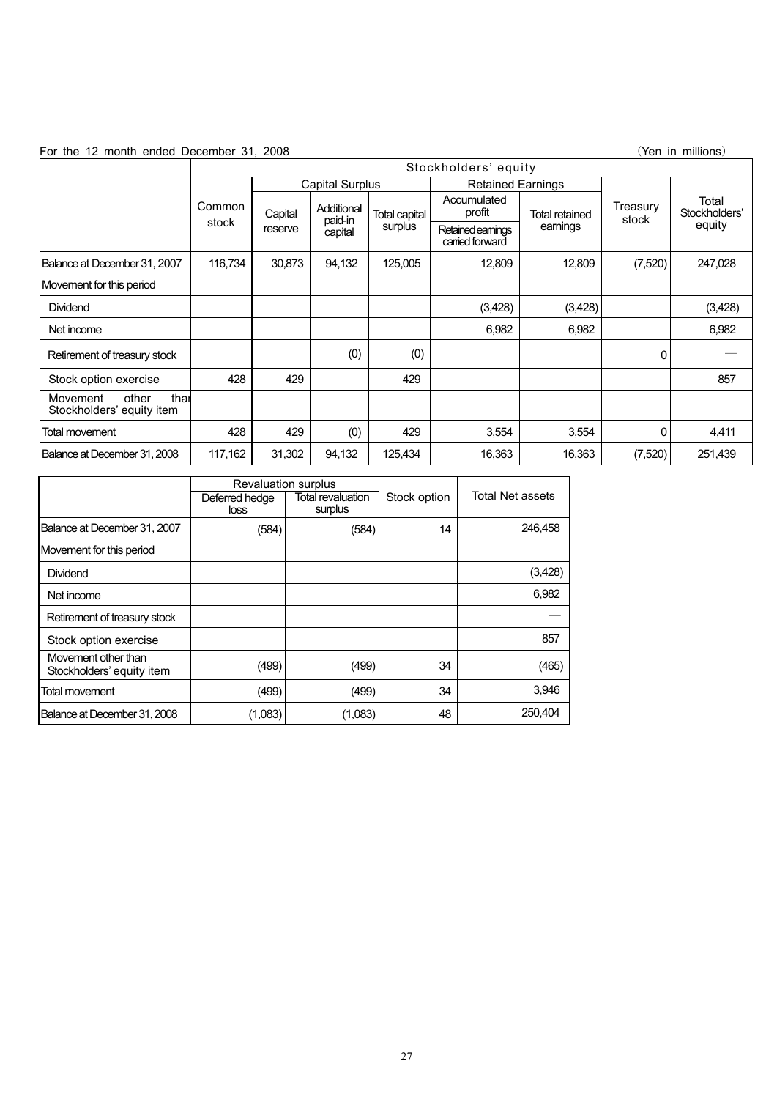For the 12 month ended December 31, 2008 (Yen in millions)

|                                                        | Stockholders' equity |                                                    |                       |                                                 |                       |                |         |         |                   |                        |
|--------------------------------------------------------|----------------------|----------------------------------------------------|-----------------------|-------------------------------------------------|-----------------------|----------------|---------|---------|-------------------|------------------------|
|                                                        |                      | <b>Capital Surplus</b><br><b>Retained Earnings</b> |                       |                                                 |                       |                |         |         |                   |                        |
|                                                        | Common<br>stock      | Capital                                            | Additional<br>paid-in | <b>Total capital</b>                            | Accumulated<br>profit | Total retained |         |         | Treasury<br>stock | Total<br>Stockholders' |
|                                                        |                      | reserve                                            | capital               | surplus<br>Retained earnings<br>carried forward |                       | earnings       |         | equity  |                   |                        |
| Balance at December 31, 2007                           | 116,734              | 30,873                                             | 94,132                | 125,005                                         | 12,809                | 12,809         | (7,520) | 247,028 |                   |                        |
| Movement for this period                               |                      |                                                    |                       |                                                 |                       |                |         |         |                   |                        |
| Dividend                                               |                      |                                                    |                       |                                                 | (3,428)               | (3,428)        |         | (3,428) |                   |                        |
| Net income                                             |                      |                                                    |                       |                                                 | 6,982                 | 6,982          |         | 6,982   |                   |                        |
| Retirement of treasury stock                           |                      |                                                    | (0)                   | (0)                                             |                       |                | 0       |         |                   |                        |
| Stock option exercise                                  | 428                  | 429                                                |                       | 429                                             |                       |                |         | 857     |                   |                        |
| thar<br>other<br>Movement<br>Stockholders' equity item |                      |                                                    |                       |                                                 |                       |                |         |         |                   |                        |
| Total movement                                         | 428                  | 429                                                | (0)                   | 429                                             | 3,554                 | 3,554          | 0       | 4,411   |                   |                        |
| Balance at December 31, 2008                           | 117,162              | 31,302                                             | 94,132                | 125,434                                         | 16,363                | 16,363         | (7,520) | 251,439 |                   |                        |

|                                                  | <b>Revaluation surplus</b> |                              |              |                  |  |
|--------------------------------------------------|----------------------------|------------------------------|--------------|------------------|--|
|                                                  | Deferred hedge<br>loss     | Total revaluation<br>surplus | Stock option | Total Net assets |  |
| Balance at December 31, 2007                     | (584)                      | (584)                        | 14           | 246,458          |  |
| Movement for this period                         |                            |                              |              |                  |  |
| Dividend                                         |                            |                              |              | (3,428)          |  |
| Net income                                       |                            |                              |              | 6,982            |  |
| Retirement of treasury stock                     |                            |                              |              |                  |  |
| Stock option exercise                            |                            |                              |              | 857              |  |
| Movement other than<br>Stockholders' equity item | (499)                      | (499)                        | 34           | (465)            |  |
| Total movement                                   | (499)                      | (499)                        | 34           | 3,946            |  |
| Balance at December 31, 2008                     | (1,083)                    | (1,083)                      | 48           | 250.404          |  |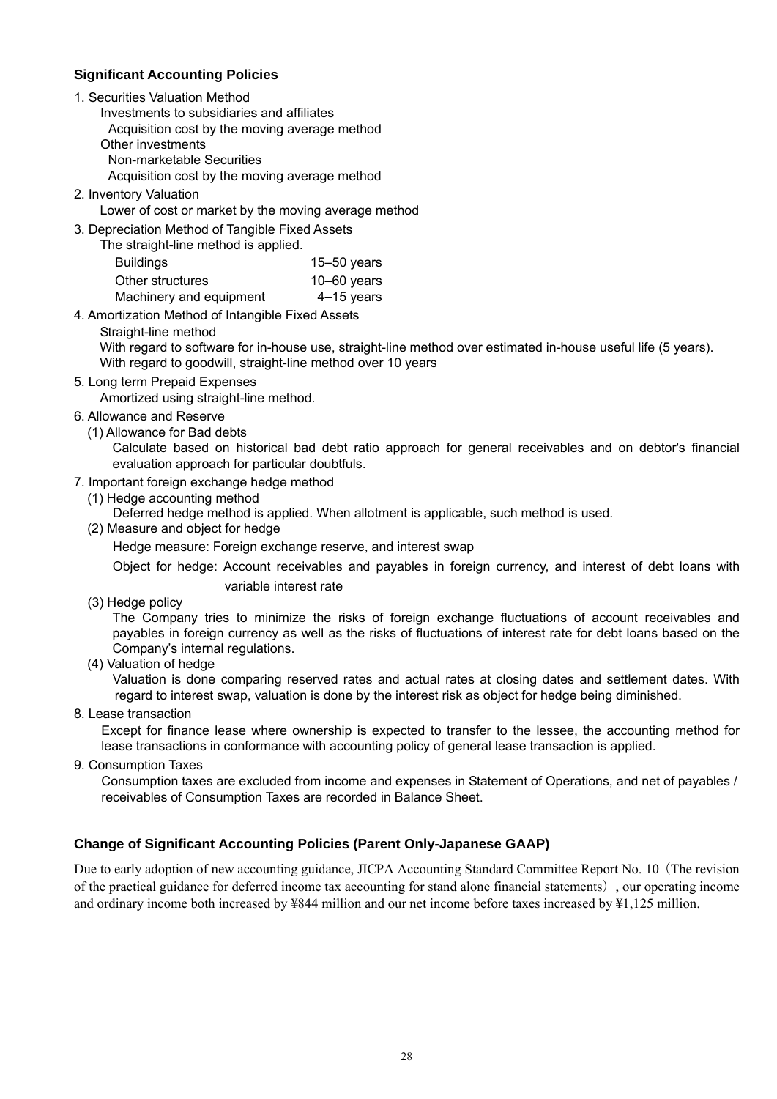### **Significant Accounting Policies**

- 1. Securities Valuation Method
	- Investments to subsidiaries and affiliates
	- Acquisition cost by the moving average method
	- Other investments
	- Non-marketable Securities
	- Acquisition cost by the moving average method
- 2. Inventory Valuation

Lower of cost or market by the moving average method

3. Depreciation Method of Tangible Fixed Assets

| The straight-line method is applied. |                 |
|--------------------------------------|-----------------|
| <b>Buildings</b>                     | $15 - 50$ years |
| Other structures                     | $10 - 60$ years |
| Machinery and equipment              | $4-15$ years    |

- 4. Amortization Method of Intangible Fixed Assets
	- Straight-line method

With regard to software for in-house use, straight-line method over estimated in-house useful life (5 years). With regard to goodwill, straight-line method over 10 years

5. Long term Prepaid Expenses

Amortized using straight-line method.

- 6. Allowance and Reserve
	- (1) Allowance for Bad debts

Calculate based on historical bad debt ratio approach for general receivables and on debtor's financial evaluation approach for particular doubtfuls.

- 7. Important foreign exchange hedge method
	- (1) Hedge accounting method
		- Deferred hedge method is applied. When allotment is applicable, such method is used.
	- (2) Measure and object for hedge

Hedge measure: Foreign exchange reserve, and interest swap

Object for hedge: Account receivables and payables in foreign currency, and interest of debt loans with variable interest rate

(3) Hedge policy

The Company tries to minimize the risks of foreign exchange fluctuations of account receivables and payables in foreign currency as well as the risks of fluctuations of interest rate for debt loans based on the Company's internal regulations.

(4) Valuation of hedge

Valuation is done comparing reserved rates and actual rates at closing dates and settlement dates. With regard to interest swap, valuation is done by the interest risk as object for hedge being diminished.

8. Lease transaction

Except for finance lease where ownership is expected to transfer to the lessee, the accounting method for lease transactions in conformance with accounting policy of general lease transaction is applied.

9. Consumption Taxes

Consumption taxes are excluded from income and expenses in Statement of Operations, and net of payables / receivables of Consumption Taxes are recorded in Balance Sheet.

# **Change of Significant Accounting Policies (Parent Only-Japanese GAAP)**

Due to early adoption of new accounting guidance, JICPA Accounting Standard Committee Report No. 10 (The revision of the practical guidance for deferred income tax accounting for stand alone financial statements), our operating income and ordinary income both increased by ¥844 million and our net income before taxes increased by ¥1,125 million.